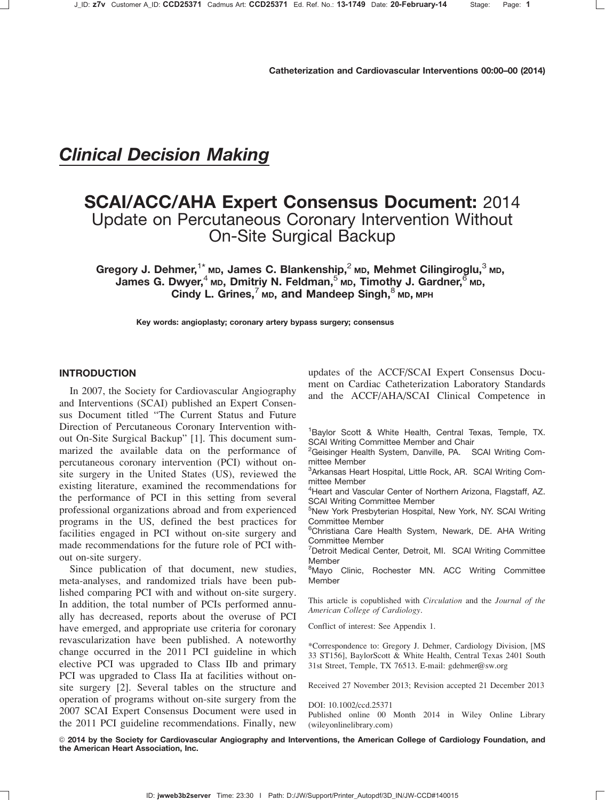Catheterization and Cardiovascular Interventions 00:00–00 (2014)

# Clinical Decision Making

# SCAI/ACC/AHA Expert Consensus Document: 2014 Update on Percutaneous Coronary Intervention Without On-Site Surgical Backup

Gregory J. Dehmer,<sup>1\*</sup> MD, James C. Blankenship,<sup>2</sup> MD, Mehmet Cilingiroglu,<sup>3</sup> MD, James G. Dwyer,<sup>4</sup> MD, Dmitriy N. Feldman,<sup>5</sup> MD, Timothy J. Gardner,  $6$  MD, Cindy L. Grines, $^7$  MD, and Mandeep Singh, $^8$  MD, MPH

Key words: angioplasty; coronary artery bypass surgery; consensus

#### INTRODUCTION

In 2007, the Society for Cardiovascular Angiography and Interventions (SCAI) published an Expert Consensus Document titled "The Current Status and Future Direction of Percutaneous Coronary Intervention without On-Site Surgical Backup" [1]. This document summarized the available data on the performance of percutaneous coronary intervention (PCI) without onsite surgery in the United States (US), reviewed the existing literature, examined the recommendations for the performance of PCI in this setting from several professional organizations abroad and from experienced programs in the US, defined the best practices for facilities engaged in PCI without on-site surgery and made recommendations for the future role of PCI without on-site surgery.

Since publication of that document, new studies, meta-analyses, and randomized trials have been published comparing PCI with and without on-site surgery. In addition, the total number of PCIs performed annually has decreased, reports about the overuse of PCI have emerged, and appropriate use criteria for coronary revascularization have been published. A noteworthy change occurred in the 2011 PCI guideline in which elective PCI was upgraded to Class IIb and primary PCI was upgraded to Class IIa at facilities without onsite surgery [2]. Several tables on the structure and operation of programs without on-site surgery from the 2007 SCAI Expert Consensus Document were used in the 2011 PCI guideline recommendations. Finally, new

updates of the ACCF/SCAI Expert Consensus Document on Cardiac Catheterization Laboratory Standards and the ACCF/AHA/SCAI Clinical Competence in

<sup>1</sup>Baylor Scott & White Health, Central Texas, Temple, TX. SCAI Writing Committee Member and Chair

<sup>2</sup>Geisinger Health System, Danville, PA. SCAI Writing Committee Member

<sup>3</sup>Arkansas Heart Hospital, Little Rock, AR. SCAI Writing Committee Member

<sup>4</sup>Heart and Vascular Center of Northern Arizona, Flagstaff, AZ. SCAI Writing Committee Member

5 New York Presbyterian Hospital, New York, NY. SCAI Writing Committee Member

6 Christiana Care Health System, Newark, DE. AHA Writing Committee Member

<sup>7</sup>Detroit Medical Center, Detroit, MI. SCAI Writing Committee Member

<sup>8</sup>Mayo Clinic, Rochester MN. ACC Writing Committee Member

This article is copublished with Circulation and the Journal of the American College of Cardiology.

Conflict of interest: See Appendix 1.

\*Correspondence to: Gregory J. Dehmer, Cardiology Division, [MS 33 ST156], BaylorScott & White Health, Central Texas 2401 South 31st Street, Temple, TX 76513. E-mail: [gdehmer@sw.org](mailto:gdehmer@sw.org)

Received 27 November 2013; Revision accepted 21 December 2013

#### DOI: 10.1002/ccd.25371

Published online 00 Month 2014 in Wiley Online Library (wileyonlinelibrary.com)

 $\odot$  2014 by the Society for Cardiovascular Angiography and Interventions, the American College of Cardiology Foundation, and the American Heart Association, Inc.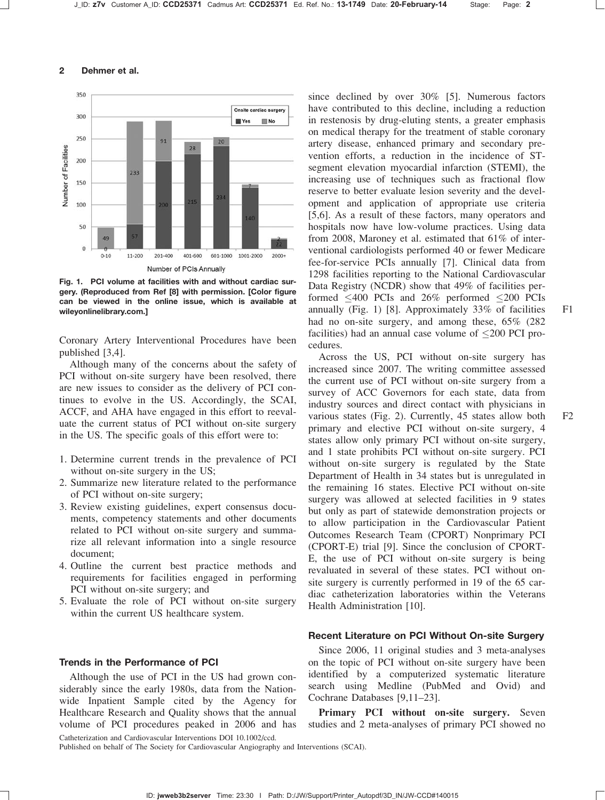

Fig. 1. PCI volume at facilities with and without cardiac surgery. (Reproduced from Ref [8] with permission. [Color figure can be viewed in the online issue, which is available at [wileyonlinelibrary.com.](http://wileyonlinelibrary.com)]

Coronary Artery Interventional Procedures have been published [3,4].

Although many of the concerns about the safety of PCI without on-site surgery have been resolved, there are new issues to consider as the delivery of PCI continues to evolve in the US. Accordingly, the SCAI, ACCF, and AHA have engaged in this effort to reevaluate the current status of PCI without on-site surgery in the US. The specific goals of this effort were to:

- 1. Determine current trends in the prevalence of PCI without on-site surgery in the US;
- 2. Summarize new literature related to the performance of PCI without on-site surgery;
- 3. Review existing guidelines, expert consensus documents, competency statements and other documents related to PCI without on-site surgery and summarize all relevant information into a single resource document;
- 4. Outline the current best practice methods and requirements for facilities engaged in performing PCI without on-site surgery; and
- 5. Evaluate the role of PCI without on-site surgery within the current US healthcare system.

### Trends in the Performance of PCI

Although the use of PCI in the US had grown considerably since the early 1980s, data from the Nationwide Inpatient Sample cited by the Agency for Healthcare Research and Quality shows that the annual volume of PCI procedures peaked in 2006 and has Catheterization and Cardiovascular Interventions DOI 10.1002/ccd.

since declined by over 30% [5]. Numerous factors have contributed to this decline, including a reduction in restenosis by drug-eluting stents, a greater emphasis on medical therapy for the treatment of stable coronary artery disease, enhanced primary and secondary prevention efforts, a reduction in the incidence of STsegment elevation myocardial infarction (STEMI), the increasing use of techniques such as fractional flow reserve to better evaluate lesion severity and the development and application of appropriate use criteria [5,6]. As a result of these factors, many operators and hospitals now have low-volume practices. Using data from 2008, Maroney et al. estimated that 61% of interventional cardiologists performed 40 or fewer Medicare fee-for-service PCIs annually [7]. Clinical data from 1298 facilities reporting to the National Cardiovascular Data Registry (NCDR) show that 49% of facilities performed  $\leq 400$  PCIs and 26% performed  $\leq 200$  PCIs annually (Fig. 1) [8]. Approximately  $33\%$  of facilities F1 had no on-site surgery, and among these, 65% (282 facilities) had an annual case volume of  $\leq$ 200 PCI procedures.

Across the US, PCI without on-site surgery has increased since 2007. The writing committee assessed the current use of PCI without on-site surgery from a survey of ACC Governors for each state, data from industry sources and direct contact with physicians in various states (Fig. 2). Currently,  $45$  states allow both  $F2$ primary and elective PCI without on-site surgery, 4 states allow only primary PCI without on-site surgery, and 1 state prohibits PCI without on-site surgery. PCI without on-site surgery is regulated by the State Department of Health in 34 states but is unregulated in the remaining 16 states. Elective PCI without on-site surgery was allowed at selected facilities in 9 states but only as part of statewide demonstration projects or to allow participation in the Cardiovascular Patient Outcomes Research Team (CPORT) Nonprimary PCI (CPORT-E) trial [9]. Since the conclusion of CPORT-E, the use of PCI without on-site surgery is being revaluated in several of these states. PCI without onsite surgery is currently performed in 19 of the 65 cardiac catheterization laboratories within the Veterans Health Administration [10].

#### Recent Literature on PCI Without On-site Surgery

Since 2006, 11 original studies and 3 meta-analyses on the topic of PCI without on-site surgery have been identified by a computerized systematic literature search using Medline (PubMed and Ovid) and Cochrane Databases [9,11–23].

Primary PCI without on-site surgery. Seven studies and 2 meta-analyses of primary PCI showed no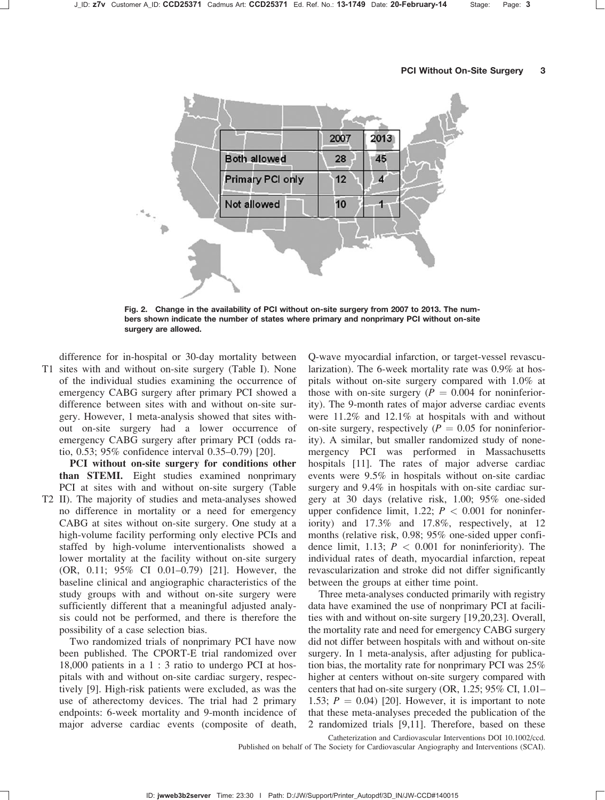### PCI Without On-Site Surgery 3



Fig. 2. Change in the availability of PCI without on-site surgery from 2007 to 2013. The numbers shown indicate the number of states where primary and nonprimary PCI without on-site surgery are allowed.

difference for in-hospital or 30-day mortality between T1 sites with and without on-site surgery (Table I). None of the individual studies examining the occurrence of emergency CABG surgery after primary PCI showed a difference between sites with and without on-site surgery. However, 1 meta-analysis showed that sites without on-site surgery had a lower occurrence of emergency CABG surgery after primary PCI (odds ratio, 0.53; 95% confidence interval 0.35–0.79) [20].

PCI without on-site surgery for conditions other than STEMI. Eight studies examined nonprimary PCI at sites with and without on-site surgery (Table

T2 II). The majority of studies and meta-analyses showed no difference in mortality or a need for emergency CABG at sites without on-site surgery. One study at a high-volume facility performing only elective PCIs and staffed by high-volume interventionalists showed a lower mortality at the facility without on-site surgery (OR, 0.11; 95% CI 0.01–0.79) [21]. However, the baseline clinical and angiographic characteristics of the study groups with and without on-site surgery were sufficiently different that a meaningful adjusted analysis could not be performed, and there is therefore the possibility of a case selection bias.

Two randomized trials of nonprimary PCI have now been published. The CPORT-E trial randomized over 18,000 patients in a 1 : 3 ratio to undergo PCI at hospitals with and without on-site cardiac surgery, respectively [9]. High-risk patients were excluded, as was the use of atherectomy devices. The trial had 2 primary endpoints: 6-week mortality and 9-month incidence of major adverse cardiac events (composite of death,

Q-wave myocardial infarction, or target-vessel revascularization). The 6-week mortality rate was 0.9% at hospitals without on-site surgery compared with 1.0% at those with on-site surgery ( $P = 0.004$  for noninferiority). The 9-month rates of major adverse cardiac events were 11.2% and 12.1% at hospitals with and without on-site surgery, respectively ( $P = 0.05$  for noninferiority). A similar, but smaller randomized study of nonemergency PCI was performed in Massachusetts hospitals [11]. The rates of major adverse cardiac events were 9.5% in hospitals without on-site cardiac surgery and  $9.4\%$  in hospitals with on-site cardiac surgery at 30 days (relative risk, 1.00; 95% one-sided upper confidence limit, 1.22;  $P < 0.001$  for noninferiority) and 17.3% and 17.8%, respectively, at 12 months (relative risk, 0.98; 95% one-sided upper confidence limit, 1.13;  $P < 0.001$  for noninferiority). The individual rates of death, myocardial infarction, repeat revascularization and stroke did not differ significantly between the groups at either time point.

Three meta-analyses conducted primarily with registry data have examined the use of nonprimary PCI at facilities with and without on-site surgery [19,20,23]. Overall, the mortality rate and need for emergency CABG surgery did not differ between hospitals with and without on-site surgery. In 1 meta-analysis, after adjusting for publication bias, the mortality rate for nonprimary PCI was 25% higher at centers without on-site surgery compared with centers that had on-site surgery (OR, 1.25; 95% CI, 1.01– 1.53;  $P = 0.04$ ) [20]. However, it is important to note that these meta-analyses preceded the publication of the 2 randomized trials [9,11]. Therefore, based on these

Catheterization and Cardiovascular Interventions DOI 10.1002/ccd.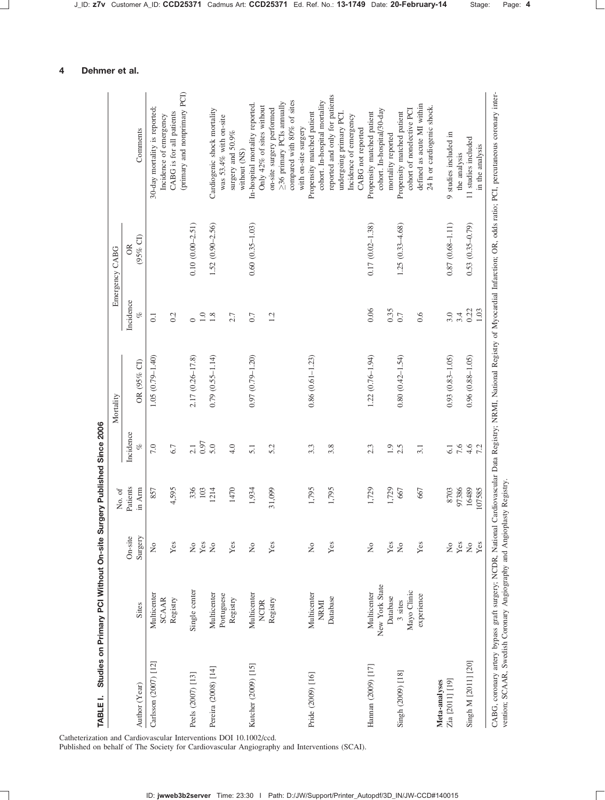|                      |                             |                                   | $\rm No.$ of  |                  | Mortality           |                  | Emergency CABG      |                                                               |
|----------------------|-----------------------------|-----------------------------------|---------------|------------------|---------------------|------------------|---------------------|---------------------------------------------------------------|
|                      |                             | On-site                           | Patients      | Incidence        |                     | Incidence        | $\approx$           |                                                               |
| Author (Year)        | Sites                       | Surgery                           | in Arm        | ozo              | OR (95% CI)         | olo              | $(95\%$ CI)         | Comments                                                      |
| Carlsson (2007) [12] | Multicenter<br><b>SCAAR</b> | $\rm \stackrel{o}{\simeq}$        | 857           | 7.0              | $1.05(0.79 - 1.40)$ | $\overline{0}$ . |                     | 30-day mortality is reported;<br>Incidence of emergency       |
|                      | Registry                    | Yes                               | 4,595         | 6.7              |                     | 0.2              |                     | CABG is for all patients                                      |
|                      |                             |                                   |               |                  |                     |                  |                     | (primary and nonprimary PCI)                                  |
| Peels (2007) [13]    | Single center               | $\rm \stackrel{\circ}{\rm \bf Z}$ | 336           | 2.1              | 2.17 (0.26-17.8)    | $\circ$          | $0.10(0.00 - 2.51)$ |                                                               |
|                      |                             | Yes                               | 103           | 0.97             |                     | 1.0              |                     |                                                               |
| Pereira (2008) [14]  | Multicenter                 | $\overline{\mathsf{z}}$           | 1214          | 5.0              | $0.79(0.55 - 1.14)$ | 1.8              | $1.52(0.90 - 2.56)$ | Cardiogenic shock mortality                                   |
|                      | Portuguese                  |                                   |               |                  |                     |                  |                     | was 53.4% with on-site                                        |
|                      | Registry                    | Yes                               | 1470          | 4.0              |                     | 2.7              |                     | surgery and 50.9%<br>without (NS)                             |
| Kutcher (2009) [15]  | Multicenter                 | $\overline{\mathsf{z}}$           | 1,934         | $\overline{5.1}$ | $0.97(0.79 - 1.20)$ | 0.7              | $0.60(0.35 - 1.03)$ | In-hospital mortality reported.                               |
|                      | <b>NCDR</b>                 |                                   |               |                  |                     |                  |                     | Only 42% of sites without                                     |
|                      | Registry                    | Yes                               | 31,099        | 5.2              |                     | 1.2              |                     | on-site surgery performed                                     |
|                      |                             |                                   |               |                  |                     |                  |                     | compared with 80% of sites<br>$\geq$ 36 primary PCIs annually |
|                      |                             |                                   |               |                  |                     |                  |                     | with on-site surgery                                          |
| Pride (2009) [16]    | Multicenter                 | $\rm \stackrel{\circ}{\rm \bf Z}$ | 1,795         | 3.3              | $0.86(0.61 - 1.23)$ |                  |                     | Propensity matched patient                                    |
|                      | <b>NRMI</b>                 |                                   |               |                  |                     |                  |                     | cohort. In-hospital mortality                                 |
|                      | Database                    | Yes                               | 1,795         | 3.8              |                     |                  |                     | reported and only for patients<br>undergoing primary PCI.     |
|                      |                             |                                   |               |                  |                     |                  |                     |                                                               |
|                      |                             |                                   |               |                  |                     |                  |                     | Incidence of emergency<br>CABG not reported                   |
| Haman (2009) [17]    | Multicenter                 | $\rm \stackrel{\circ}{\rm \bf Z}$ | 1,729         | 2.3              | $1.22(0.76-1.94)$   | 0.06             | $0.17(0.02 - 1.38)$ | Propensity matched patient                                    |
|                      | New York State              |                                   |               |                  |                     |                  |                     | cohort. In-hospital/30-day                                    |
|                      | Database                    | Yes                               | 1,729         | 1.9              |                     | 0.35             |                     | mortality reported                                            |
| Singh (2009) [18]    | 3 sites                     | $\overline{R}$                    | 667           | 2.5              | $0.80(0.42 - 1.54)$ | 0.7              | $1.25(0.33-4.68)$   | Propensity matched patient                                    |
|                      | Mayo Clinic                 |                                   |               |                  |                     |                  |                     | cohort of nonelective PCI                                     |
|                      | experience                  | $\mathbf{Yes}$                    | 667           | 3.1              |                     | 0.6              |                     | defined as acute MI within                                    |
|                      |                             |                                   |               |                  |                     |                  |                     | 24 h or cardiogenic shock.                                    |
| Meta-analyses        |                             |                                   |               |                  |                     |                  |                     |                                                               |
| Zia [2011] [19]      |                             | Yes<br>$\overline{\mathsf{S}}$    | 97386<br>8703 | 7.6<br>6.1       | $0.93(0.83 - 1.05)$ | 3.0<br>3.4       | $0.87(0.68 - 1.11)$ | 9 studies included in<br>the analysis                         |
|                      |                             |                                   |               |                  |                     |                  |                     |                                                               |
| Singh M [2011] [20]  |                             | $\rm _{XO}$                       | 16489         | 4.6              | $0.96(0.88 - 1.05)$ | 0.22             | $0.53(0.35 - 0.79)$ | 11 studies included                                           |
|                      |                             | Yes                               | 107585        | 7.2              |                     | 1.03             |                     | in the analysis                                               |

Catheterization and Cardiovascular Interventions DOI 10.1002/ccd.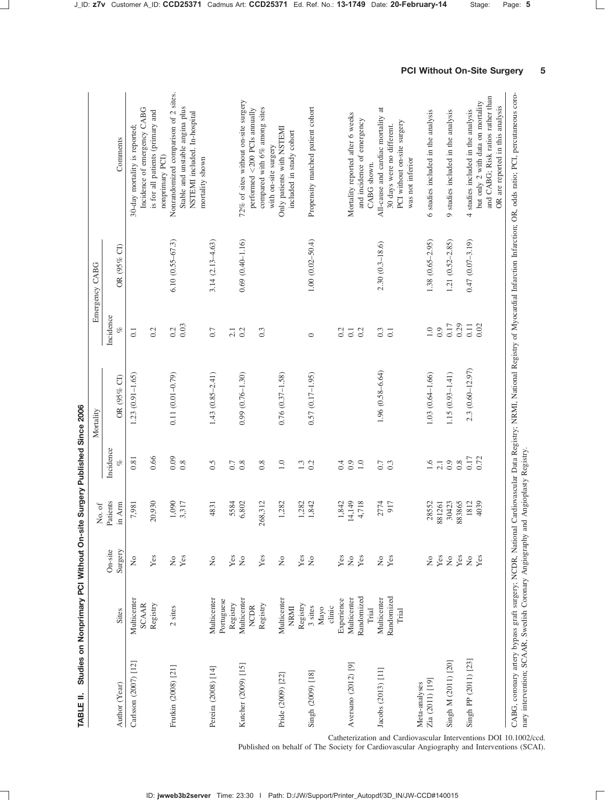|                                                                                                                    | - A HOLIDA ISLA ISLINATION IIIO SAUDINO |                                            | Anjang Din                |               | Mortality           |                  | Emergency CABG      |                                                                                                                                       |
|--------------------------------------------------------------------------------------------------------------------|-----------------------------------------|--------------------------------------------|---------------------------|---------------|---------------------|------------------|---------------------|---------------------------------------------------------------------------------------------------------------------------------------|
|                                                                                                                    |                                         | On-site                                    | Patients<br>No. of        | Incidence     |                     | Incidence        |                     |                                                                                                                                       |
| Author (Year)                                                                                                      | Sites                                   | Surgery                                    | in Arm                    | $\mathcal{C}$ | OR (95% CI)         | $\mathcal{C}$    | OR (95% CI)         | Comments                                                                                                                              |
| Carlsson (2007) [12]                                                                                               | Multicenter<br><b>SCAAR</b>             | $\rm \stackrel{\circ}{\mathbf{Z}}$         | 7,981                     | 0.81          | $1.23(0.91 - 1.65)$ | 0.1              |                     | Incidence of emergency CABG<br>30-day mortality is reported;                                                                          |
|                                                                                                                    | Registry                                | Yes                                        | 20,930                    | 0.66          |                     | 0.2              |                     | is for all patients (primary and<br>nonprimary PCI)                                                                                   |
| Frutkin (2008) [21]                                                                                                | 2 sites                                 | $\rm \stackrel{\circ}{\mathbf{Z}}$         | 1,090                     | 0.09          | $0.11(0.01 - 0.79)$ | 0.2              | $6.10(0.55 - 67.3)$ | Nonrandomized comparison of 2 sites.                                                                                                  |
|                                                                                                                    |                                         | Yes                                        | 3,317                     | 0.8           |                     | 0.03             |                     | Stable and unstable angina plus<br>NSTEMI included. In-hospital<br>mortality shown                                                    |
| Pereira (2008) [14]                                                                                                | Multicenter<br>Portuguese               | $\stackrel{\circ}{\mathsf{Z}}$             | 4831                      | 0.5           | $1.43(0.85 - 2.41)$ | 0.7              | $3.14(2.13 - 4.63)$ |                                                                                                                                       |
|                                                                                                                    | Registry                                | Yes                                        | 5584                      | 0.7           |                     | 2.1              |                     |                                                                                                                                       |
| Kutcher (2009) [15]                                                                                                | Multicenter<br><b>NCDR</b>              | $\rm \stackrel{\circ}{\rm X}$              | 6,802                     | 0.8           | $0.99(0.76 - 1.30)$ | 0.2              | $0.69(0.40 - 1.16)$ | 72% of sites without on-site surgery<br>performed <200 PCIs annually                                                                  |
|                                                                                                                    | Registry                                | Yes                                        | 268,312                   | 0.8           |                     | 0.3              |                     | compared with 6% among sites<br>with on-site surgery                                                                                  |
| Pride (2009) [22]                                                                                                  | Multicenter<br>NRMI                     | $\stackrel{\circ}{\mathbf{Z}}$             | 1,282                     | 1.0           | $0.76(0.37 - 1.58)$ |                  |                     | Only patients with NSTEMI<br>included in study cohort                                                                                 |
|                                                                                                                    | Registry                                | Yes                                        | 1,282                     | 1.3           |                     |                  |                     |                                                                                                                                       |
| Singh (2009) [18]                                                                                                  | 3 sites<br>clinic<br>Mayo               | $\rm \stackrel{\circ}{Z}$                  | 1,842                     | 0.2           | $0.57(0.17-1.95)$   | $\circ$          | $1.00(0.02 - 50.4)$ | Propensity matched patient cohort                                                                                                     |
|                                                                                                                    |                                         |                                            |                           |               |                     |                  |                     |                                                                                                                                       |
|                                                                                                                    | Experience                              | Yes                                        | 1,842                     | 0.4           |                     | 0.2              |                     |                                                                                                                                       |
| Aversano (2012) [9]                                                                                                | Randomized<br>Multicenter<br>Trial      | Yes<br>$\stackrel{\mathtt{o}}{\mathsf{z}}$ | 14,149<br>4,718           | 0.9<br>1.0    |                     | 0.2<br>0.1       |                     | Mortality reported after 6 weeks<br>and incidence of emergency<br>CABG shown.                                                         |
| Jacobs (2013) [11]                                                                                                 | Multicenter                             | $\rm \stackrel{\circ}{\mathbf{Z}}$         | 2774                      | 0.7           | $1.96(0.58 - 6.64)$ | 0.3              | $2.30(0.3 - 18.6)$  | All-cause and cardiac mortality at                                                                                                    |
|                                                                                                                    | Randomized<br>Trial                     | Yes                                        | 917                       | 0.3           |                     | $\overline{0}$ . |                     | PCI without on-site surgery<br>30 days were no different.<br>was not inferior                                                         |
| Zia (2011) [19]<br>Meta-analyses                                                                                   |                                         | $\rm \stackrel{\circ}{\rm \bf Z}$          | 28552                     | 1.6           | $1.03(0.64-1.66)$   | 1.0              | $1.38(0.65 - 2.95)$ | 6 studies included in the analysis                                                                                                    |
|                                                                                                                    |                                         | Yes                                        | 881261                    | 2.1           |                     | 0.9              |                     |                                                                                                                                       |
| Singh M (2011) [20]                                                                                                |                                         | $\stackrel{\mathtt{o}}{\mathsf{z}}$        | 30423                     | 0.9           | $1.15(0.93 - 1.41)$ | 0.17             | $1.21(0.52 - 2.85)$ | 9 studies included in the analysis                                                                                                    |
|                                                                                                                    |                                         | Yes                                        | 883865                    | 0.8           |                     | 0.29             |                     |                                                                                                                                       |
| Singh PP (2011) [23]                                                                                               |                                         | Yes<br>$\rm \stackrel{\circ}{\rm \bf Z}$   | 4039<br>1812              | 0.17<br>0.72  | 2.3 (0.60-12.97)    | 0.02<br>0.11     | $0.47(0.07 - 3.19)$ | but only 2 with data on mortality<br>4 studies included in the analysis                                                               |
|                                                                                                                    |                                         |                                            |                           |               |                     |                  |                     | and CABG; Risk ratios rather than<br>OR are reported in this analysis                                                                 |
| CABG, coronary artery bypass graft surgery; NCDR, Nation<br>nary intervention; SCAAR, Swedish Coronary Angiography |                                         |                                            | and Angioplasty Registry. |               |                     |                  |                     | al Cardiovascular Data Registry; NRMI, National Registry of Myocardial Infarction Infarction; OR, odds ratio; PCI, percutaneous coro- |

TABLE II. Studies on Nonprimary PCI Without On-site Surgery Published Since 2006 TABLE II. Studies on Nonprimary PCI Without On-site Surgery Published Since 2006

Catheterization and Cardiovascular Interventions DOI 10.1002/ccd.

Published on behalf of The Society for Cardiovascular Angiography and Interventions (SCAI).

PCI Without On-Site Surgery 5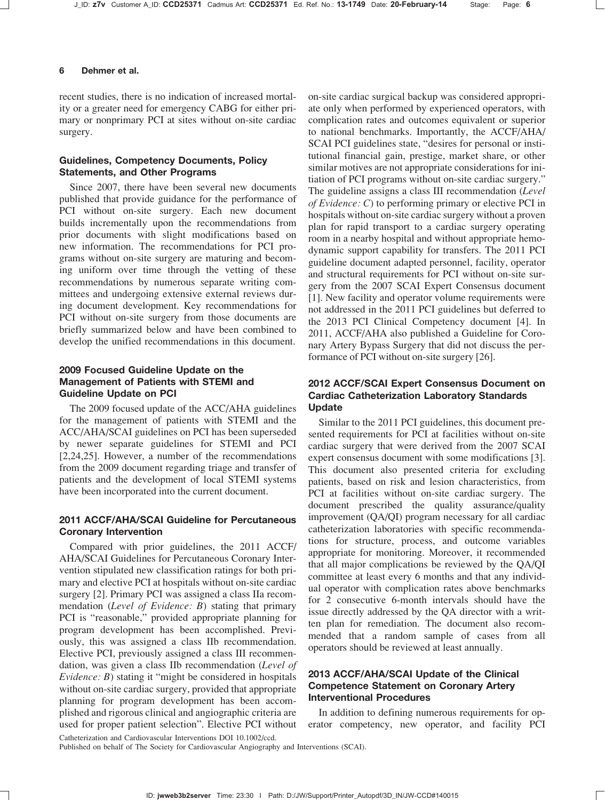recent studies, there is no indication of increased mortality or a greater need for emergency CABG for either primary or nonprimary PCI at sites without on-site cardiac surgery.

## Guidelines, Competency Documents, Policy Statements, and Other Programs

Since 2007, there have been several new documents published that provide guidance for the performance of PCI without on-site surgery. Each new document builds incrementally upon the recommendations from prior documents with slight modifications based on new information. The recommendations for PCI programs without on-site surgery are maturing and becoming uniform over time through the vetting of these recommendations by numerous separate writing committees and undergoing extensive external reviews during document development. Key recommendations for PCI without on-site surgery from those documents are briefly summarized below and have been combined to develop the unified recommendations in this document.

### 2009 Focused Guideline Update on the Management of Patients with STEMI and Guideline Update on PCI

The 2009 focused update of the ACC/AHA guidelines for the management of patients with STEMI and the ACC/AHA/SCAI guidelines on PCI has been superseded by newer separate guidelines for STEMI and PCI [2,24,25]. However, a number of the recommendations from the 2009 document regarding triage and transfer of patients and the development of local STEMI systems have been incorporated into the current document.

#### 2011 ACCF/AHA/SCAI Guideline for Percutaneous Coronary Intervention

Compared with prior guidelines, the 2011 ACCF/ AHA/SCAI Guidelines for Percutaneous Coronary Intervention stipulated new classification ratings for both primary and elective PCI at hospitals without on-site cardiac surgery [2]. Primary PCI was assigned a class IIa recommendation (Level of Evidence: B) stating that primary PCI is "reasonable," provided appropriate planning for program development has been accomplished. Previously, this was assigned a class IIb recommendation. Elective PCI, previously assigned a class III recommendation, was given a class IIb recommendation (Level of Evidence: B) stating it "might be considered in hospitals without on-site cardiac surgery, provided that appropriate planning for program development has been accomplished and rigorous clinical and angiographic criteria are used for proper patient selection". Elective PCI without on-site cardiac surgical backup was considered appropriate only when performed by experienced operators, with complication rates and outcomes equivalent or superior to national benchmarks. Importantly, the ACCF/AHA/ SCAI PCI guidelines state, "desires for personal or institutional financial gain, prestige, market share, or other similar motives are not appropriate considerations for initiation of PCI programs without on-site cardiac surgery." The guideline assigns a class III recommendation (Level of Evidence: C) to performing primary or elective PCI in hospitals without on-site cardiac surgery without a proven plan for rapid transport to a cardiac surgery operating room in a nearby hospital and without appropriate hemodynamic support capability for transfers. The 2011 PCI guideline document adapted personnel, facility, operator and structural requirements for PCI without on-site surgery from the 2007 SCAI Expert Consensus document [1]. New facility and operator volume requirements were not addressed in the 2011 PCI guidelines but deferred to the 2013 PCI Clinical Competency document [4]. In 2011, ACCF/AHA also published a Guideline for Coronary Artery Bypass Surgery that did not discuss the performance of PCI without on-site surgery [26].

# 2012 ACCF/SCAI Expert Consensus Document on Cardiac Catheterization Laboratory Standards Update

Similar to the 2011 PCI guidelines, this document presented requirements for PCI at facilities without on-site cardiac surgery that were derived from the 2007 SCAI expert consensus document with some modifications [3]. This document also presented criteria for excluding patients, based on risk and lesion characteristics, from PCI at facilities without on-site cardiac surgery. The document prescribed the quality assurance/quality improvement (QA/QI) program necessary for all cardiac catheterization laboratories with specific recommendations for structure, process, and outcome variables appropriate for monitoring. Moreover, it recommended that all major complications be reviewed by the QA/QI committee at least every 6 months and that any individual operator with complication rates above benchmarks for 2 consecutive 6-month intervals should have the issue directly addressed by the QA director with a written plan for remediation. The document also recommended that a random sample of cases from all operators should be reviewed at least annually.

# 2013 ACCF/AHA/SCAI Update of the Clinical Competence Statement on Coronary Artery Interventional Procedures

In addition to defining numerous requirements for operator competency, new operator, and facility PCI

Catheterization and Cardiovascular Interventions DOI 10.1002/ccd.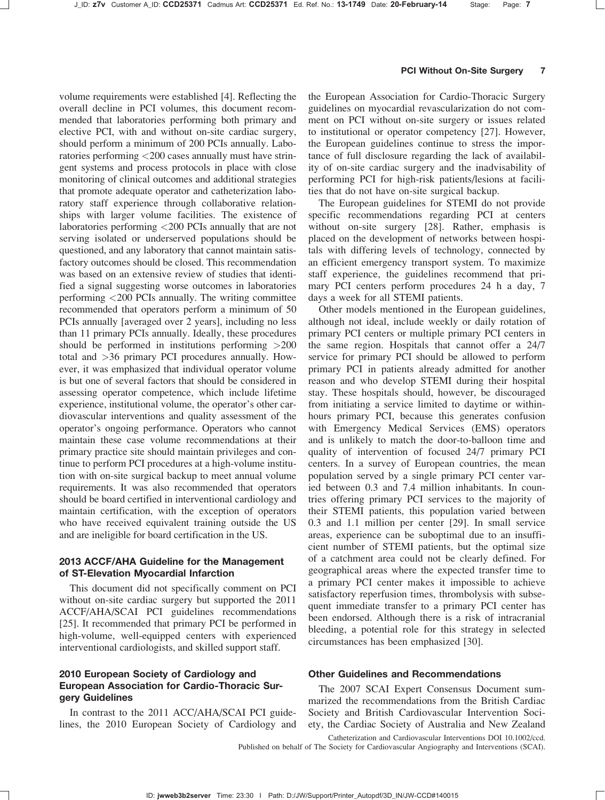volume requirements were established [4]. Reflecting the overall decline in PCI volumes, this document recommended that laboratories performing both primary and elective PCI, with and without on-site cardiac surgery, should perform a minimum of 200 PCIs annually. Laboratories performing <200 cases annually must have stringent systems and process protocols in place with close monitoring of clinical outcomes and additional strategies that promote adequate operator and catheterization laboratory staff experience through collaborative relationships with larger volume facilities. The existence of laboratories performing <200 PCIs annually that are not serving isolated or underserved populations should be questioned, and any laboratory that cannot maintain satisfactory outcomes should be closed. This recommendation was based on an extensive review of studies that identified a signal suggesting worse outcomes in laboratories performing <200 PCIs annually. The writing committee recommended that operators perform a minimum of 50 PCIs annually [averaged over 2 years], including no less than 11 primary PCIs annually. Ideally, these procedures should be performed in institutions performing >200 total and >36 primary PCI procedures annually. However, it was emphasized that individual operator volume is but one of several factors that should be considered in assessing operator competence, which include lifetime experience, institutional volume, the operator's other cardiovascular interventions and quality assessment of the operator's ongoing performance. Operators who cannot maintain these case volume recommendations at their primary practice site should maintain privileges and continue to perform PCI procedures at a high-volume institution with on-site surgical backup to meet annual volume requirements. It was also recommended that operators should be board certified in interventional cardiology and maintain certification, with the exception of operators who have received equivalent training outside the US

# 2013 ACCF/AHA Guideline for the Management of ST-Elevation Myocardial Infarction

and are ineligible for board certification in the US.

This document did not specifically comment on PCI without on-site cardiac surgery but supported the 2011 ACCF/AHA/SCAI PCI guidelines recommendations [25]. It recommended that primary PCI be performed in high-volume, well-equipped centers with experienced interventional cardiologists, and skilled support staff.

# 2010 European Society of Cardiology and European Association for Cardio-Thoracic Surgery Guidelines

In contrast to the 2011 ACC/AHA/SCAI PCI guidelines, the 2010 European Society of Cardiology and

## PCI Without On-Site Surgery 7

the European Association for Cardio-Thoracic Surgery guidelines on myocardial revascularization do not comment on PCI without on-site surgery or issues related to institutional or operator competency [27]. However, the European guidelines continue to stress the importance of full disclosure regarding the lack of availability of on-site cardiac surgery and the inadvisability of performing PCI for high-risk patients/lesions at facilities that do not have on-site surgical backup.

The European guidelines for STEMI do not provide specific recommendations regarding PCI at centers without on-site surgery [28]. Rather, emphasis is placed on the development of networks between hospitals with differing levels of technology, connected by an efficient emergency transport system. To maximize staff experience, the guidelines recommend that primary PCI centers perform procedures 24 h a day, 7 days a week for all STEMI patients.

Other models mentioned in the European guidelines, although not ideal, include weekly or daily rotation of primary PCI centers or multiple primary PCI centers in the same region. Hospitals that cannot offer a 24/7 service for primary PCI should be allowed to perform primary PCI in patients already admitted for another reason and who develop STEMI during their hospital stay. These hospitals should, however, be discouraged from initiating a service limited to daytime or withinhours primary PCI, because this generates confusion with Emergency Medical Services (EMS) operators and is unlikely to match the door-to-balloon time and quality of intervention of focused 24/7 primary PCI centers. In a survey of European countries, the mean population served by a single primary PCI center varied between 0.3 and 7.4 million inhabitants. In countries offering primary PCI services to the majority of their STEMI patients, this population varied between 0.3 and 1.1 million per center [29]. In small service areas, experience can be suboptimal due to an insufficient number of STEMI patients, but the optimal size of a catchment area could not be clearly defined. For geographical areas where the expected transfer time to a primary PCI center makes it impossible to achieve satisfactory reperfusion times, thrombolysis with subsequent immediate transfer to a primary PCI center has been endorsed. Although there is a risk of intracranial bleeding, a potential role for this strategy in selected circumstances has been emphasized [30].

### Other Guidelines and Recommendations

The 2007 SCAI Expert Consensus Document summarized the recommendations from the British Cardiac Society and British Cardiovascular Intervention Society, the Cardiac Society of Australia and New Zealand

Catheterization and Cardiovascular Interventions DOI 10.1002/ccd. Published on behalf of The Society for Cardiovascular Angiography and Interventions (SCAI).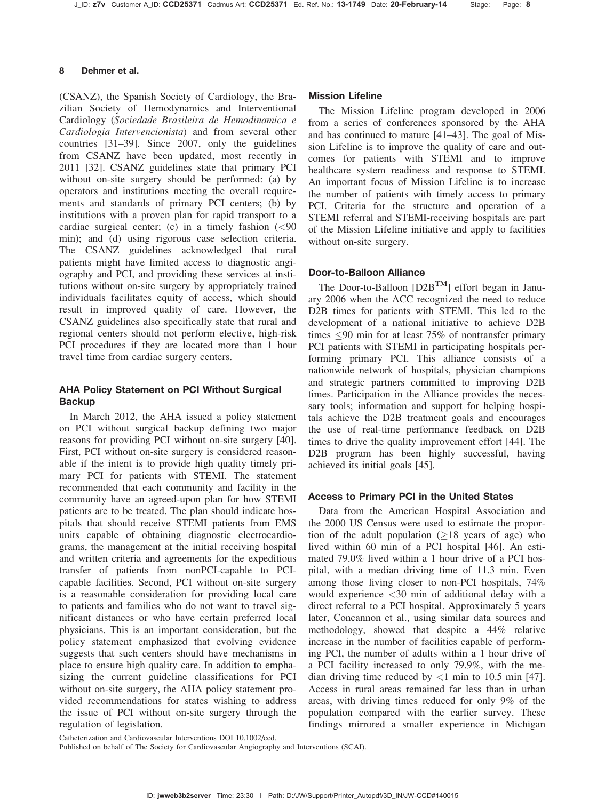(CSANZ), the Spanish Society of Cardiology, the Brazilian Society of Hemodynamics and Interventional Cardiology (Sociedade Brasileira de Hemodinamica e Cardiologia Intervencionista) and from several other countries [31–39]. Since 2007, only the guidelines from CSANZ have been updated, most recently in 2011 [32]. CSANZ guidelines state that primary PCI without on-site surgery should be performed: (a) by operators and institutions meeting the overall requirements and standards of primary PCI centers; (b) by institutions with a proven plan for rapid transport to a cardiac surgical center; (c) in a timely fashion  $\ll 90$ min); and (d) using rigorous case selection criteria. The CSANZ guidelines acknowledged that rural patients might have limited access to diagnostic angiography and PCI, and providing these services at institutions without on-site surgery by appropriately trained individuals facilitates equity of access, which should result in improved quality of care. However, the CSANZ guidelines also specifically state that rural and regional centers should not perform elective, high-risk PCI procedures if they are located more than 1 hour travel time from cardiac surgery centers.

# AHA Policy Statement on PCI Without Surgical **Backup**

In March 2012, the AHA issued a policy statement on PCI without surgical backup defining two major reasons for providing PCI without on-site surgery [40]. First, PCI without on-site surgery is considered reasonable if the intent is to provide high quality timely primary PCI for patients with STEMI. The statement recommended that each community and facility in the community have an agreed-upon plan for how STEMI patients are to be treated. The plan should indicate hospitals that should receive STEMI patients from EMS units capable of obtaining diagnostic electrocardiograms, the management at the initial receiving hospital and written criteria and agreements for the expeditious transfer of patients from nonPCI-capable to PCIcapable facilities. Second, PCI without on-site surgery is a reasonable consideration for providing local care to patients and families who do not want to travel significant distances or who have certain preferred local physicians. This is an important consideration, but the policy statement emphasized that evolving evidence suggests that such centers should have mechanisms in place to ensure high quality care. In addition to emphasizing the current guideline classifications for PCI without on-site surgery, the AHA policy statement provided recommendations for states wishing to address the issue of PCI without on-site surgery through the regulation of legislation.

#### Mission Lifeline

The Mission Lifeline program developed in 2006 from a series of conferences sponsored by the AHA and has continued to mature [41–43]. The goal of Mission Lifeline is to improve the quality of care and outcomes for patients with STEMI and to improve healthcare system readiness and response to STEMI. An important focus of Mission Lifeline is to increase the number of patients with timely access to primary PCI. Criteria for the structure and operation of a STEMI referral and STEMI-receiving hospitals are part of the Mission Lifeline initiative and apply to facilities without on-site surgery.

#### Door-to-Balloon Alliance

The Door-to-Balloon  $[D2B^{TM}]$  effort began in January 2006 when the ACC recognized the need to reduce D2B times for patients with STEMI. This led to the development of a national initiative to achieve D2B times  $\leq 90$  min for at least 75% of nontransfer primary PCI patients with STEMI in participating hospitals performing primary PCI. This alliance consists of a nationwide network of hospitals, physician champions and strategic partners committed to improving D2B times. Participation in the Alliance provides the necessary tools; information and support for helping hospitals achieve the D2B treatment goals and encourages the use of real-time performance feedback on D2B times to drive the quality improvement effort [44]. The D2B program has been highly successful, having achieved its initial goals [45].

#### Access to Primary PCI in the United States

Data from the American Hospital Association and the 2000 US Census were used to estimate the proportion of the adult population  $(\geq 18$  years of age) who lived within 60 min of a PCI hospital [46]. An estimated 79.0% lived within a 1 hour drive of a PCI hospital, with a median driving time of 11.3 min. Even among those living closer to non-PCI hospitals, 74% would experience <30 min of additional delay with a direct referral to a PCI hospital. Approximately 5 years later, Concannon et al., using similar data sources and methodology, showed that despite a 44% relative increase in the number of facilities capable of performing PCI, the number of adults within a 1 hour drive of a PCI facility increased to only 79.9%, with the median driving time reduced by  $\langle 1 \rangle$  min to 10.5 min [47]. Access in rural areas remained far less than in urban areas, with driving times reduced for only 9% of the population compared with the earlier survey. These findings mirrored a smaller experience in Michigan

Catheterization and Cardiovascular Interventions DOI 10.1002/ccd.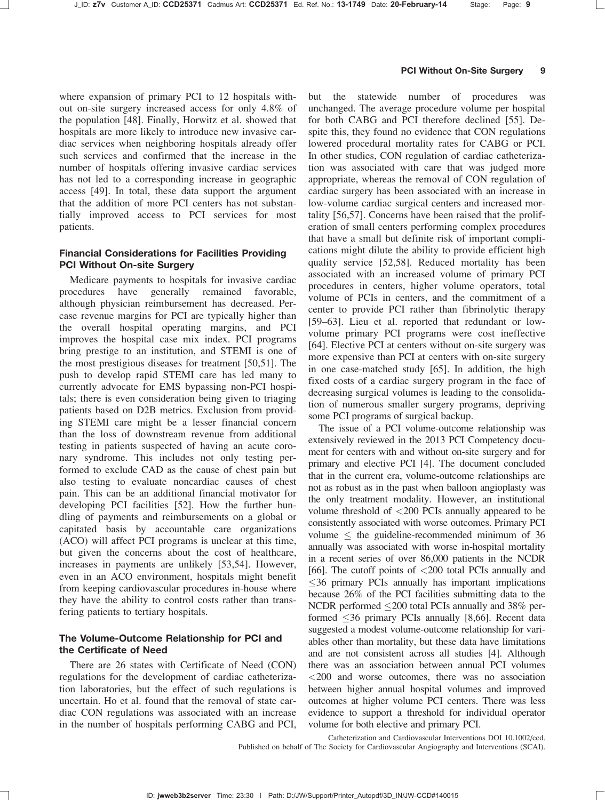where expansion of primary PCI to 12 hospitals without on-site surgery increased access for only 4.8% of the population [48]. Finally, Horwitz et al. showed that hospitals are more likely to introduce new invasive cardiac services when neighboring hospitals already offer such services and confirmed that the increase in the number of hospitals offering invasive cardiac services has not led to a corresponding increase in geographic access [49]. In total, these data support the argument that the addition of more PCI centers has not substantially improved access to PCI services for most patients.

# Financial Considerations for Facilities Providing PCI Without On-site Surgery

Medicare payments to hospitals for invasive cardiac procedures have generally remained favorable, although physician reimbursement has decreased. Percase revenue margins for PCI are typically higher than the overall hospital operating margins, and PCI improves the hospital case mix index. PCI programs bring prestige to an institution, and STEMI is one of the most prestigious diseases for treatment [50,51]. The push to develop rapid STEMI care has led many to currently advocate for EMS bypassing non-PCI hospitals; there is even consideration being given to triaging patients based on D2B metrics. Exclusion from providing STEMI care might be a lesser financial concern than the loss of downstream revenue from additional testing in patients suspected of having an acute coronary syndrome. This includes not only testing performed to exclude CAD as the cause of chest pain but also testing to evaluate noncardiac causes of chest pain. This can be an additional financial motivator for developing PCI facilities [52]. How the further bundling of payments and reimbursements on a global or capitated basis by accountable care organizations (ACO) will affect PCI programs is unclear at this time, but given the concerns about the cost of healthcare, increases in payments are unlikely [53,54]. However, even in an ACO environment, hospitals might benefit from keeping cardiovascular procedures in-house where they have the ability to control costs rather than transfering patients to tertiary hospitals.

# The Volume-Outcome Relationship for PCI and the Certificate of Need

There are 26 states with Certificate of Need (CON) regulations for the development of cardiac catheterization laboratories, but the effect of such regulations is uncertain. Ho et al. found that the removal of state cardiac CON regulations was associated with an increase in the number of hospitals performing CABG and PCI,

## PCI Without On-Site Surgery 9

but the statewide number of procedures was unchanged. The average procedure volume per hospital for both CABG and PCI therefore declined [55]. Despite this, they found no evidence that CON regulations lowered procedural mortality rates for CABG or PCI. In other studies, CON regulation of cardiac catheterization was associated with care that was judged more appropriate, whereas the removal of CON regulation of cardiac surgery has been associated with an increase in low-volume cardiac surgical centers and increased mortality [56,57]. Concerns have been raised that the proliferation of small centers performing complex procedures that have a small but definite risk of important complications might dilute the ability to provide efficient high quality service [52,58]. Reduced mortality has been associated with an increased volume of primary PCI procedures in centers, higher volume operators, total volume of PCIs in centers, and the commitment of a center to provide PCI rather than fibrinolytic therapy [59–63]. Lieu et al. reported that redundant or lowvolume primary PCI programs were cost ineffective [64]. Elective PCI at centers without on-site surgery was more expensive than PCI at centers with on-site surgery in one case-matched study [65]. In addition, the high fixed costs of a cardiac surgery program in the face of decreasing surgical volumes is leading to the consolidation of numerous smaller surgery programs, depriving some PCI programs of surgical backup.

The issue of a PCI volume-outcome relationship was extensively reviewed in the 2013 PCI Competency document for centers with and without on-site surgery and for primary and elective PCI [4]. The document concluded that in the current era, volume-outcome relationships are not as robust as in the past when balloon angioplasty was the only treatment modality. However, an institutional volume threshold of <200 PCIs annually appeared to be consistently associated with worse outcomes. Primary PCI volume  $\leq$  the guideline-recommended minimum of 36 annually was associated with worse in-hospital mortality in a recent series of over 86,000 patients in the NCDR [66]. The cutoff points of <200 total PCIs annually and  $\leq$ 36 primary PCIs annually has important implications because 26% of the PCI facilities submitting data to the NCDR performed  $\leq$ 200 total PCIs annually and 38% performed  $\leq$ 36 primary PCIs annually [8,66]. Recent data suggested a modest volume-outcome relationship for variables other than mortality, but these data have limitations and are not consistent across all studies [4]. Although there was an association between annual PCI volumes <200 and worse outcomes, there was no association between higher annual hospital volumes and improved outcomes at higher volume PCI centers. There was less evidence to support a threshold for individual operator volume for both elective and primary PCI.

Catheterization and Cardiovascular Interventions DOI 10.1002/ccd.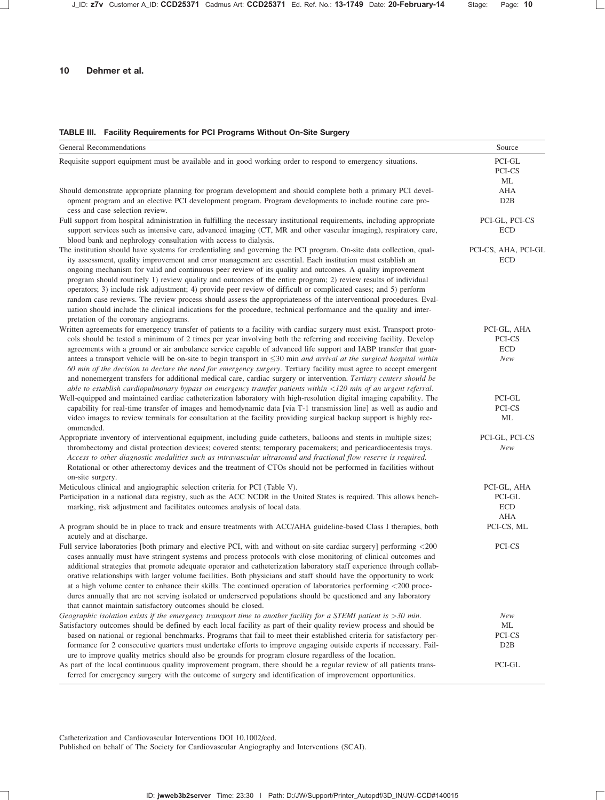$\mathbf{I}$ 

#### 10 Dehmer et al.

 $\Box$ 

 $\blacksquare$ 

## TABLE III. Facility Requirements for PCI Programs Without On-Site Surgery

| General Recommendations                                                                                                                                                                                                                                                                                                                                                                                                                                                                                                                                                                                                                                                                                                                          | Source                |
|--------------------------------------------------------------------------------------------------------------------------------------------------------------------------------------------------------------------------------------------------------------------------------------------------------------------------------------------------------------------------------------------------------------------------------------------------------------------------------------------------------------------------------------------------------------------------------------------------------------------------------------------------------------------------------------------------------------------------------------------------|-----------------------|
| Requisite support equipment must be available and in good working order to respond to emergency situations.                                                                                                                                                                                                                                                                                                                                                                                                                                                                                                                                                                                                                                      | PCI-GL<br>PCI-CS      |
|                                                                                                                                                                                                                                                                                                                                                                                                                                                                                                                                                                                                                                                                                                                                                  | ML                    |
| Should demonstrate appropriate planning for program development and should complete both a primary PCI devel-<br>opment program and an elective PCI development program. Program developments to include routine care pro-<br>cess and case selection review.                                                                                                                                                                                                                                                                                                                                                                                                                                                                                    | AHA<br>D2B            |
| Full support from hospital administration in fulfilling the necessary institutional requirements, including appropriate                                                                                                                                                                                                                                                                                                                                                                                                                                                                                                                                                                                                                          | PCI-GL, PCI-CS        |
| support services such as intensive care, advanced imaging (CT, MR and other vascular imaging), respiratory care,<br>blood bank and nephrology consultation with access to dialysis.                                                                                                                                                                                                                                                                                                                                                                                                                                                                                                                                                              | <b>ECD</b>            |
| The institution should have systems for credentialing and governing the PCI program. On-site data collection, qual-                                                                                                                                                                                                                                                                                                                                                                                                                                                                                                                                                                                                                              | PCI-CS, AHA, PCI-GL   |
| ity assessment, quality improvement and error management are essential. Each institution must establish an<br>ongoing mechanism for valid and continuous peer review of its quality and outcomes. A quality improvement<br>program should routinely 1) review quality and outcomes of the entire program; 2) review results of individual<br>operators; 3) include risk adjustment; 4) provide peer review of difficult or complicated cases; and 5) perform<br>random case reviews. The review process should assess the appropriateness of the interventional procedures. Eval-<br>uation should include the clinical indications for the procedure, technical performance and the quality and inter-<br>pretation of the coronary angiograms. | <b>ECD</b>            |
| Written agreements for emergency transfer of patients to a facility with cardiac surgery must exist. Transport proto-                                                                                                                                                                                                                                                                                                                                                                                                                                                                                                                                                                                                                            | PCI-GL, AHA           |
| cols should be tested a minimum of 2 times per year involving both the referring and receiving facility. Develop                                                                                                                                                                                                                                                                                                                                                                                                                                                                                                                                                                                                                                 | PCI-CS                |
| agreements with a ground or air ambulance service capable of advanced life support and IABP transfer that guar-                                                                                                                                                                                                                                                                                                                                                                                                                                                                                                                                                                                                                                  | <b>ECD</b>            |
| antees a transport vehicle will be on-site to begin transport in $\leq 30$ min and arrival at the surgical hospital within<br>60 min of the decision to declare the need for emergency surgery. Tertiary facility must agree to accept emergent<br>and nonemergent transfers for additional medical care, cardiac surgery or intervention. Tertiary centers should be<br>able to establish cardiopulmonary bypass on emergency transfer patients within $\langle 120 \text{ min of an urgent referral.} \rangle$                                                                                                                                                                                                                                 | New                   |
| Well-equipped and maintained cardiac catheterization laboratory with high-resolution digital imaging capability. The                                                                                                                                                                                                                                                                                                                                                                                                                                                                                                                                                                                                                             | PCI-GL                |
| capability for real-time transfer of images and hemodynamic data [via T-1 transmission line] as well as audio and                                                                                                                                                                                                                                                                                                                                                                                                                                                                                                                                                                                                                                | PCI-CS                |
| video images to review terminals for consultation at the facility providing surgical backup support is highly rec-<br>ommended.                                                                                                                                                                                                                                                                                                                                                                                                                                                                                                                                                                                                                  | ML                    |
| Appropriate inventory of interventional equipment, including guide catheters, balloons and stents in multiple sizes;<br>thrombectomy and distal protection devices; covered stents; temporary pacemakers; and pericardiocentesis trays.<br>Access to other diagnostic modalities such as intravascular ultrasound and fractional flow reserve is required.<br>Rotational or other atherectomy devices and the treatment of CTOs should not be performed in facilities without<br>on-site surgery.                                                                                                                                                                                                                                                | PCI-GL, PCI-CS<br>New |
| Meticulous clinical and angiographic selection criteria for PCI (Table V).                                                                                                                                                                                                                                                                                                                                                                                                                                                                                                                                                                                                                                                                       | PCI-GL, AHA           |
| Participation in a national data registry, such as the ACC NCDR in the United States is required. This allows bench-                                                                                                                                                                                                                                                                                                                                                                                                                                                                                                                                                                                                                             | PCI-GL                |
| marking, risk adjustment and facilitates outcomes analysis of local data.                                                                                                                                                                                                                                                                                                                                                                                                                                                                                                                                                                                                                                                                        | <b>ECD</b>            |
|                                                                                                                                                                                                                                                                                                                                                                                                                                                                                                                                                                                                                                                                                                                                                  | AHA                   |
| A program should be in place to track and ensure treatments with ACC/AHA guideline-based Class I therapies, both<br>acutely and at discharge.                                                                                                                                                                                                                                                                                                                                                                                                                                                                                                                                                                                                    | PCI-CS, ML            |
| Full service laboratories [both primary and elective PCI, with and without on-site cardiac surgery] performing <200                                                                                                                                                                                                                                                                                                                                                                                                                                                                                                                                                                                                                              | PCI-CS                |
| cases annually must have stringent systems and process protocols with close monitoring of clinical outcomes and<br>additional strategies that promote adequate operator and catheterization laboratory staff experience through collab-<br>orative relationships with larger volume facilities. Both physicians and staff should have the opportunity to work<br>at a high volume center to enhance their skills. The continued operation of laboratories performing <200 proce-                                                                                                                                                                                                                                                                 |                       |
| dures annually that are not serving isolated or underserved populations should be questioned and any laboratory<br>that cannot maintain satisfactory outcomes should be closed.                                                                                                                                                                                                                                                                                                                                                                                                                                                                                                                                                                  |                       |
| Geographic isolation exists if the emergency transport time to another facility for a STEMI patient is $>$ 30 min.                                                                                                                                                                                                                                                                                                                                                                                                                                                                                                                                                                                                                               | New                   |
| Satisfactory outcomes should be defined by each local facility as part of their quality review process and should be                                                                                                                                                                                                                                                                                                                                                                                                                                                                                                                                                                                                                             | ML                    |
| based on national or regional benchmarks. Programs that fail to meet their established criteria for satisfactory per-                                                                                                                                                                                                                                                                                                                                                                                                                                                                                                                                                                                                                            | PCI-CS                |
| formance for 2 consecutive quarters must undertake efforts to improve engaging outside experts if necessary. Fail-<br>ure to improve quality metrics should also be grounds for program closure regardless of the location.                                                                                                                                                                                                                                                                                                                                                                                                                                                                                                                      | D2B                   |
| As part of the local continuous quality improvement program, there should be a regular review of all patients trans-<br>ferred for emergency surgery with the outcome of surgery and identification of improvement opportunities.                                                                                                                                                                                                                                                                                                                                                                                                                                                                                                                | PCI-GL                |

Catheterization and Cardiovascular Interventions DOI 10.1002/ccd.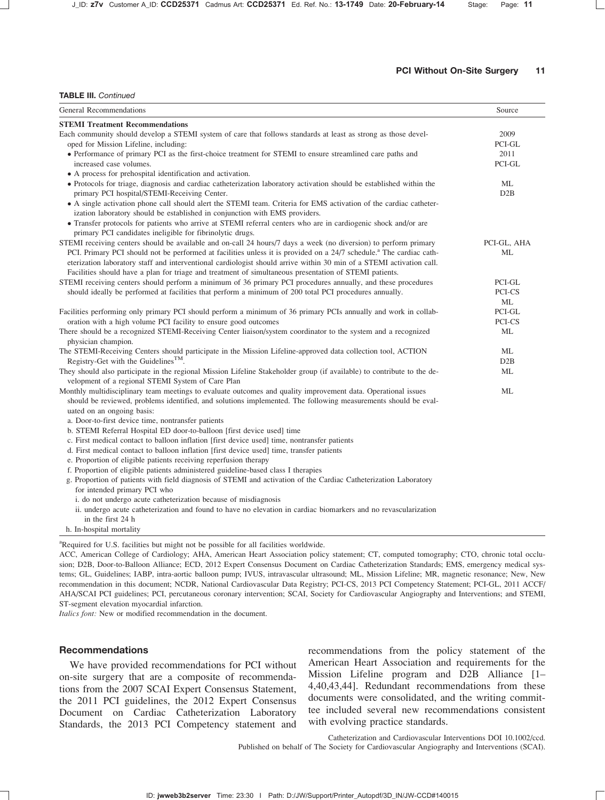#### TABLE III. Continued

| General Recommendations                                                                                                                                                                                                                                                                                                                                           | Source      |
|-------------------------------------------------------------------------------------------------------------------------------------------------------------------------------------------------------------------------------------------------------------------------------------------------------------------------------------------------------------------|-------------|
| <b>STEMI Treatment Recommendations</b>                                                                                                                                                                                                                                                                                                                            |             |
| Each community should develop a STEMI system of care that follows standards at least as strong as those devel-                                                                                                                                                                                                                                                    | 2009        |
| oped for Mission Lifeline, including:                                                                                                                                                                                                                                                                                                                             | PCI-GL      |
| • Performance of primary PCI as the first-choice treatment for STEMI to ensure streamlined care paths and                                                                                                                                                                                                                                                         | 2011        |
| increased case volumes.                                                                                                                                                                                                                                                                                                                                           | PCI-GL      |
| • A process for prehospital identification and activation.                                                                                                                                                                                                                                                                                                        |             |
| • Protocols for triage, diagnosis and cardiac catheterization laboratory activation should be established within the<br>primary PCI hospital/STEMI-Receiving Center.                                                                                                                                                                                              | ML<br>D2B   |
| • A single activation phone call should alert the STEMI team. Criteria for EMS activation of the cardiac catheter-<br>ization laboratory should be established in conjunction with EMS providers.                                                                                                                                                                 |             |
| • Transfer protocols for patients who arrive at STEMI referral centers who are in cardiogenic shock and/or are<br>primary PCI candidates ineligible for fibrinolytic drugs.                                                                                                                                                                                       |             |
| STEMI receiving centers should be available and on-call 24 hours/7 days a week (no diversion) to perform primary                                                                                                                                                                                                                                                  | PCI-GL, AHA |
| PCI. Primary PCI should not be performed at facilities unless it is provided on a 24/7 schedule. <sup>a</sup> The cardiac cath-<br>eterization laboratory staff and interventional cardiologist should arrive within 30 min of a STEMI activation call.<br>Facilities should have a plan for triage and treatment of simultaneous presentation of STEMI patients. | ML          |
| STEMI receiving centers should perform a minimum of 36 primary PCI procedures annually, and these procedures                                                                                                                                                                                                                                                      | PCI-GL      |
| should ideally be performed at facilities that perform a minimum of 200 total PCI procedures annually.                                                                                                                                                                                                                                                            | PCI-CS      |
|                                                                                                                                                                                                                                                                                                                                                                   | ML          |
| Facilities performing only primary PCI should perform a minimum of 36 primary PCIs annually and work in collab-                                                                                                                                                                                                                                                   | PCI-GL      |
| oration with a high volume PCI facility to ensure good outcomes                                                                                                                                                                                                                                                                                                   | PCI-CS      |
| There should be a recognized STEMI-Receiving Center liaison/system coordinator to the system and a recognized<br>physician champion.                                                                                                                                                                                                                              | ML          |
| The STEMI-Receiving Centers should participate in the Mission Lifeline-approved data collection tool, ACTION                                                                                                                                                                                                                                                      | ML          |
| Registry-Get with the Guidelines <sup>TM</sup> .                                                                                                                                                                                                                                                                                                                  | D2B         |
| They should also participate in the regional Mission Lifeline Stakeholder group (if available) to contribute to the de-<br>velopment of a regional STEMI System of Care Plan                                                                                                                                                                                      | ML          |
| Monthly multidisciplinary team meetings to evaluate outcomes and quality improvement data. Operational issues<br>should be reviewed, problems identified, and solutions implemented. The following measurements should be eval-                                                                                                                                   | ML          |
| uated on an ongoing basis:                                                                                                                                                                                                                                                                                                                                        |             |
| a. Door-to-first device time, nontransfer patients                                                                                                                                                                                                                                                                                                                |             |
| b. STEMI Referral Hospital ED door-to-balloon [first device used] time                                                                                                                                                                                                                                                                                            |             |
| c. First medical contact to balloon inflation [first device used] time, nontransfer patients                                                                                                                                                                                                                                                                      |             |
| d. First medical contact to balloon inflation [first device used] time, transfer patients                                                                                                                                                                                                                                                                         |             |
| e. Proportion of eligible patients receiving reperfusion therapy                                                                                                                                                                                                                                                                                                  |             |
| f. Proportion of eligible patients administered guideline-based class I therapies                                                                                                                                                                                                                                                                                 |             |
| g. Proportion of patients with field diagnosis of STEMI and activation of the Cardiac Catheterization Laboratory                                                                                                                                                                                                                                                  |             |
| for intended primary PCI who                                                                                                                                                                                                                                                                                                                                      |             |
| i. do not undergo acute catheterization because of misdiagnosis                                                                                                                                                                                                                                                                                                   |             |
| ii. undergo acute catheterization and found to have no elevation in cardiac biomarkers and no revascularization                                                                                                                                                                                                                                                   |             |
| in the first 24 h                                                                                                                                                                                                                                                                                                                                                 |             |
| h. In-hospital mortality                                                                                                                                                                                                                                                                                                                                          |             |

<sup>a</sup>Required for U.S. facilities but might not be possible for all facilities worldwide.

ACC, American College of Cardiology; AHA, American Heart Association policy statement; CT, computed tomography; CTO, chronic total occlusion; D2B, Door-to-Balloon Alliance; ECD, 2012 Expert Consensus Document on Cardiac Catheterization Standards; EMS, emergency medical systems; GL, Guidelines; IABP, intra-aortic balloon pump; IVUS, intravascular ultrasound; ML, Mission Lifeline; MR, magnetic resonance; New, New recommendation in this document; NCDR, National Cardiovascular Data Registry; PCI-CS, 2013 PCI Competency Statement; PCI-GL, 2011 ACCF/ AHA/SCAI PCI guidelines; PCI, percutaneous coronary intervention; SCAI, Society for Cardiovascular Angiography and Interventions; and STEMI, ST-segment elevation myocardial infarction.

Italics font: New or modified recommendation in the document.

#### Recommendations

We have provided recommendations for PCI without on-site surgery that are a composite of recommendations from the 2007 SCAI Expert Consensus Statement, the 2011 PCI guidelines, the 2012 Expert Consensus Document on Cardiac Catheterization Laboratory Standards, the 2013 PCI Competency statement and recommendations from the policy statement of the American Heart Association and requirements for the Mission Lifeline program and D2B Alliance [1– 4,40,43,44]. Redundant recommendations from these documents were consolidated, and the writing committee included several new recommendations consistent with evolving practice standards.

Catheterization and Cardiovascular Interventions DOI 10.1002/ccd.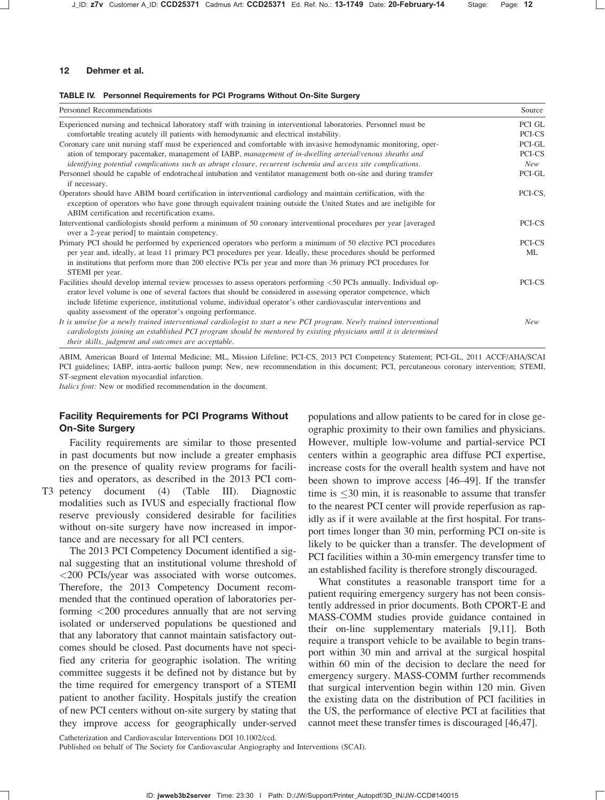#### 12 Dehmer et al.

#### TABLE IV. Personnel Requirements for PCI Programs Without On-Site Surgery

| Personnel Recommendations                                                                                                                                                                                                                             | Source  |
|-------------------------------------------------------------------------------------------------------------------------------------------------------------------------------------------------------------------------------------------------------|---------|
| Experienced nursing and technical laboratory staff with training in interventional laboratories. Personnel must be                                                                                                                                    | PCI GL  |
| comfortable treating acutely ill patients with hemodynamic and electrical instability.                                                                                                                                                                | PCI-CS  |
| Coronary care unit nursing staff must be experienced and comfortable with invasive hemodynamic monitoring, oper-                                                                                                                                      | PCI-GL  |
| ation of temporary pacemaker, management of IABP, management of in-dwelling arterial/venous sheaths and                                                                                                                                               | PCI-CS  |
| identifying potential complications such as abrupt closure, recurrent ischemia and access site complications.                                                                                                                                         | New     |
| Personnel should be capable of endotracheal intubation and ventilator management both on-site and during transfer<br>if necessary.                                                                                                                    | PCI-GL  |
| Operators should have ABIM board certification in interventional cardiology and maintain certification, with the                                                                                                                                      | PCI-CS, |
| exception of operators who have gone through equivalent training outside the United States and are ineligible for<br>ABIM certification and recertification exams.                                                                                    |         |
| Interventional cardiologists should perform a minimum of 50 coronary interventional procedures per year [averaged]<br>over a 2-year period] to maintain competency.                                                                                   | PCI-CS  |
| Primary PCI should be performed by experienced operators who perform a minimum of 50 elective PCI procedures                                                                                                                                          | PCI-CS  |
| per year and, ideally, at least 11 primary PCI procedures per year. Ideally, these procedures should be performed<br>in institutions that perform more than 200 elective PCIs per year and more than 36 primary PCI procedures for<br>STEMI per year. | ML      |
| Facilities should develop internal review processes to assess operators performing <50 PCIs annually. Individual op-                                                                                                                                  | PCI-CS  |
| erator level volume is one of several factors that should be considered in assessing operator competence, which                                                                                                                                       |         |
| include lifetime experience, institutional volume, individual operator's other cardiovascular interventions and                                                                                                                                       |         |
| quality assessment of the operator's ongoing performance.                                                                                                                                                                                             |         |
| It is unwise for a newly trained interventional cardiologist to start a new PCI program. Newly trained interventional                                                                                                                                 | New     |
| cardiologists joining an established PCI program should be mentored by existing physicians until it is determined                                                                                                                                     |         |
| their skills, judgment and outcomes are acceptable.                                                                                                                                                                                                   |         |

ABIM, American Board of Internal Medicine; ML, Mission Lifeline; PCI-CS, 2013 PCI Competency Statement; PCI-GL, 2011 ACCF/AHA/SCAI PCI guidelines; IABP, intra-aortic balloon pump; New, new recommendation in this document; PCI, percutaneous coronary intervention; STEMI, ST-segment elevation myocardial infarction.

Italics font: New or modified recommendation in the document.

## Facility Requirements for PCI Programs Without On-Site Surgery

Facility requirements are similar to those presented in past documents but now include a greater emphasis on the presence of quality review programs for facilities and operators, as described in the 2013 PCI com-

T3 petency document (4) (Table III). Diagnostic modalities such as IVUS and especially fractional flow reserve previously considered desirable for facilities without on-site surgery have now increased in importance and are necessary for all PCI centers.

The 2013 PCI Competency Document identified a signal suggesting that an institutional volume threshold of <200 PCIs/year was associated with worse outcomes. Therefore, the 2013 Competency Document recommended that the continued operation of laboratories performing <200 procedures annually that are not serving isolated or underserved populations be questioned and that any laboratory that cannot maintain satisfactory outcomes should be closed. Past documents have not specified any criteria for geographic isolation. The writing committee suggests it be defined not by distance but by the time required for emergency transport of a STEMI patient to another facility. Hospitals justify the creation of new PCI centers without on-site surgery by stating that they improve access for geographically under-served

populations and allow patients to be cared for in close geographic proximity to their own families and physicians. However, multiple low-volume and partial-service PCI centers within a geographic area diffuse PCI expertise, increase costs for the overall health system and have not been shown to improve access [46–49]. If the transfer time is  $\leq$ 30 min, it is reasonable to assume that transfer to the nearest PCI center will provide reperfusion as rapidly as if it were available at the first hospital. For transport times longer than 30 min, performing PCI on-site is likely to be quicker than a transfer. The development of PCI facilities within a 30-min emergency transfer time to an established facility is therefore strongly discouraged.

What constitutes a reasonable transport time for a patient requiring emergency surgery has not been consistently addressed in prior documents. Both CPORT-E and MASS-COMM studies provide guidance contained in their on-line supplementary materials [9,11]. Both require a transport vehicle to be available to begin transport within 30 min and arrival at the surgical hospital within 60 min of the decision to declare the need for emergency surgery. MASS-COMM further recommends that surgical intervention begin within 120 min. Given the existing data on the distribution of PCI facilities in the US, the performance of elective PCI at facilities that cannot meet these transfer times is discouraged [46,47].

Catheterization and Cardiovascular Interventions DOI 10.1002/ccd.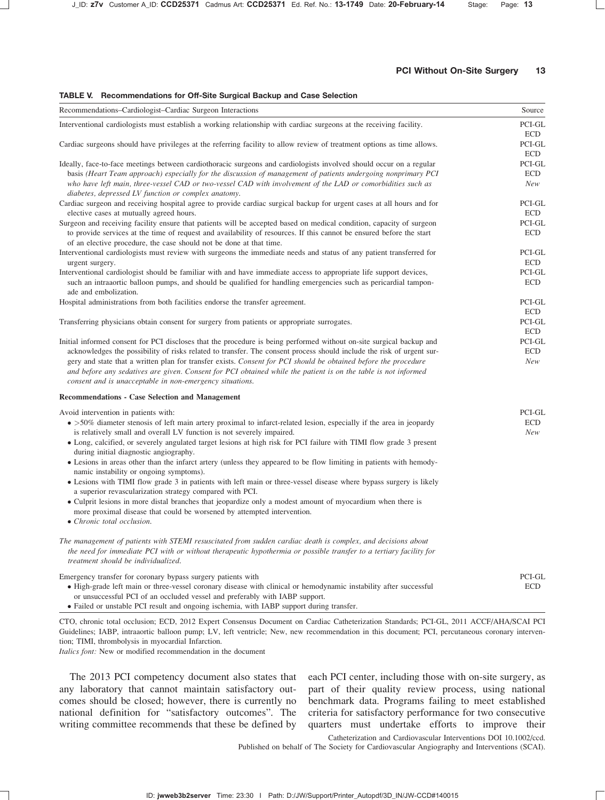#### PCI Without On-Site Surgery 13

| Recommendations-Cardiologist-Cardiac Surgeon Interactions                                                                                                                                                                                                                                                                                                                                                                                                                                                                                                                                                                                                                                                                                                                                                                                                                                                                                                                                | Source                         |
|------------------------------------------------------------------------------------------------------------------------------------------------------------------------------------------------------------------------------------------------------------------------------------------------------------------------------------------------------------------------------------------------------------------------------------------------------------------------------------------------------------------------------------------------------------------------------------------------------------------------------------------------------------------------------------------------------------------------------------------------------------------------------------------------------------------------------------------------------------------------------------------------------------------------------------------------------------------------------------------|--------------------------------|
| Interventional cardiologists must establish a working relationship with cardiac surgeons at the receiving facility.                                                                                                                                                                                                                                                                                                                                                                                                                                                                                                                                                                                                                                                                                                                                                                                                                                                                      | PCI-GL<br><b>ECD</b>           |
| Cardiac surgeons should have privileges at the referring facility to allow review of treatment options as time allows.                                                                                                                                                                                                                                                                                                                                                                                                                                                                                                                                                                                                                                                                                                                                                                                                                                                                   | PCI-GL<br><b>ECD</b>           |
| Ideally, face-to-face meetings between cardiothoracic surgeons and cardiologists involved should occur on a regular<br>basis (Heart Team approach) especially for the discussion of management of patients undergoing nonprimary PCI<br>who have left main, three-vessel CAD or two-vessel CAD with involvement of the LAD or comorbidities such as                                                                                                                                                                                                                                                                                                                                                                                                                                                                                                                                                                                                                                      | PCI-GL<br><b>ECD</b><br>New    |
| diabetes, depressed LV function or complex anatomy.<br>Cardiac surgeon and receiving hospital agree to provide cardiac surgical backup for urgent cases at all hours and for<br>elective cases at mutually agreed hours.<br>Surgeon and receiving facility ensure that patients will be accepted based on medical condition, capacity of surgeon                                                                                                                                                                                                                                                                                                                                                                                                                                                                                                                                                                                                                                         | PCI-GL<br><b>ECD</b><br>PCI-GL |
| to provide services at the time of request and availability of resources. If this cannot be ensured before the start<br>of an elective procedure, the case should not be done at that time.                                                                                                                                                                                                                                                                                                                                                                                                                                                                                                                                                                                                                                                                                                                                                                                              | <b>ECD</b>                     |
| Interventional cardiologists must review with surgeons the immediate needs and status of any patient transferred for<br>urgent surgery.                                                                                                                                                                                                                                                                                                                                                                                                                                                                                                                                                                                                                                                                                                                                                                                                                                                  | PCI-GL<br><b>ECD</b>           |
| Interventional cardiologist should be familiar with and have immediate access to appropriate life support devices,<br>such an intraaortic balloon pumps, and should be qualified for handling emergencies such as pericardial tampon-<br>ade and embolization.                                                                                                                                                                                                                                                                                                                                                                                                                                                                                                                                                                                                                                                                                                                           | PCI-GL<br><b>ECD</b>           |
| Hospital administrations from both facilities endorse the transfer agreement.                                                                                                                                                                                                                                                                                                                                                                                                                                                                                                                                                                                                                                                                                                                                                                                                                                                                                                            | PCI-GL<br><b>ECD</b>           |
| Transferring physicians obtain consent for surgery from patients or appropriate surrogates.                                                                                                                                                                                                                                                                                                                                                                                                                                                                                                                                                                                                                                                                                                                                                                                                                                                                                              | PCI-GL<br><b>ECD</b>           |
| Initial informed consent for PCI discloses that the procedure is being performed without on-site surgical backup and<br>acknowledges the possibility of risks related to transfer. The consent process should include the risk of urgent sur-<br>gery and state that a written plan for transfer exists. Consent for PCI should be obtained before the procedure<br>and before any sedatives are given. Consent for PCI obtained while the patient is on the table is not informed<br>consent and is unacceptable in non-emergency situations.                                                                                                                                                                                                                                                                                                                                                                                                                                           | PCI-GL<br><b>ECD</b><br>New    |
| <b>Recommendations - Case Selection and Management</b>                                                                                                                                                                                                                                                                                                                                                                                                                                                                                                                                                                                                                                                                                                                                                                                                                                                                                                                                   |                                |
| Avoid intervention in patients with:<br>$\bullet$ >50% diameter stenosis of left main artery proximal to infarct-related lesion, especially if the area in jeopardy<br>is relatively small and overall LV function is not severely impaired.<br>• Long, calcified, or severely angulated target lesions at high risk for PCI failure with TIMI flow grade 3 present<br>during initial diagnostic angiography.<br>• Lesions in areas other than the infarct artery (unless they appeared to be flow limiting in patients with hemody-<br>namic instability or ongoing symptoms).<br>• Lesions with TIMI flow grade 3 in patients with left main or three-vessel disease where bypass surgery is likely<br>a superior revascularization strategy compared with PCI.<br>• Culprit lesions in more distal branches that jeopardize only a modest amount of myocardium when there is<br>more proximal disease that could be worsened by attempted intervention.<br>• Chronic total occlusion. | PCI-GL<br><b>ECD</b><br>New    |
| The management of patients with STEMI resuscitated from sudden cardiac death is complex, and decisions about<br>the need for immediate PCI with or without therapeutic hypothermia or possible transfer to a tertiary facility for<br>treatment should be individualized.                                                                                                                                                                                                                                                                                                                                                                                                                                                                                                                                                                                                                                                                                                                |                                |
| Emergency transfer for coronary bypass surgery patients with<br>• High-grade left main or three-vessel coronary disease with clinical or hemodynamic instability after successful<br>or unsuccessful PCI of an occluded vessel and preferably with IABP support.<br>• Failed or unstable PCI result and ongoing ischemia, with IABP support during transfer.                                                                                                                                                                                                                                                                                                                                                                                                                                                                                                                                                                                                                             | PCI-GL<br><b>ECD</b>           |

CTO, chronic total occlusion; ECD, 2012 Expert Consensus Document on Cardiac Catheterization Standards; PCI-GL, 2011 ACCF/AHA/SCAI PCI Guidelines; IABP, intraaortic balloon pump; LV, left ventricle; New, new recommendation in this document; PCI, percutaneous coronary intervention; TIMI, thrombolysis in myocardial Infarction.

Italics font: New or modified recommendation in the document

The 2013 PCI competency document also states that any laboratory that cannot maintain satisfactory outcomes should be closed; however, there is currently no national definition for "satisfactory outcomes". The writing committee recommends that these be defined by each PCI center, including those with on-site surgery, as part of their quality review process, using national benchmark data. Programs failing to meet established criteria for satisfactory performance for two consecutive quarters must undertake efforts to improve their

Catheterization and Cardiovascular Interventions DOI 10.1002/ccd.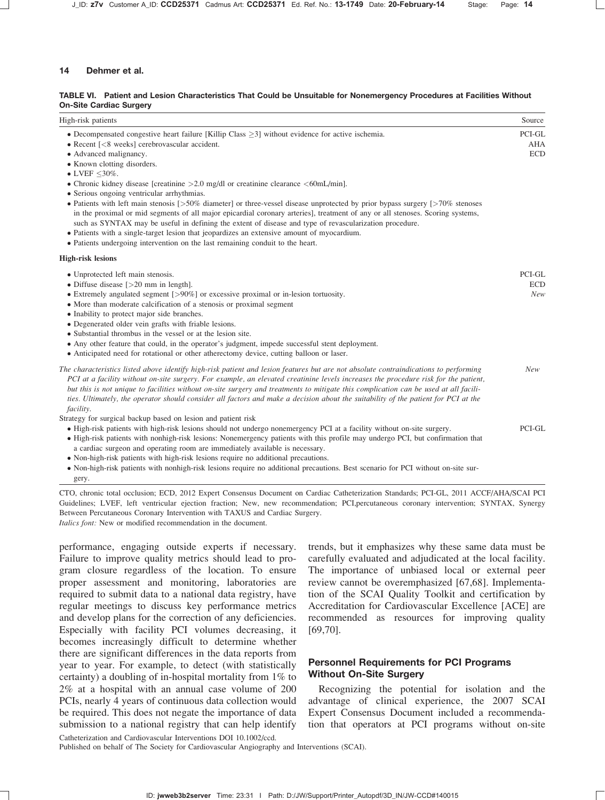#### 14 Dehmer et al.

#### TABLE VI. Patient and Lesion Characteristics That Could be Unsuitable for Nonemergency Procedures at Facilities Without On-Site Cardiac Surgery

| High-risk patients                                                                                                                                                                                                                                                                                                                                                                                                                                                                                                                                                                                                                                                                                   | Source                             |
|------------------------------------------------------------------------------------------------------------------------------------------------------------------------------------------------------------------------------------------------------------------------------------------------------------------------------------------------------------------------------------------------------------------------------------------------------------------------------------------------------------------------------------------------------------------------------------------------------------------------------------------------------------------------------------------------------|------------------------------------|
| • Decompensated congestive heart failure [Killip Class $\geq$ 3] without evidence for active ischemia.<br>• Recent $\left[ \langle 8 \text{ weeks} \rangle \right]$ cerebrovascular accident.<br>• Advanced malignancy.<br>• Known clotting disorders.<br>$\bullet$ LVEF ${\leq}30\%.$                                                                                                                                                                                                                                                                                                                                                                                                               | PCI-GL<br><b>AHA</b><br><b>ECD</b> |
| • Chronic kidney disease [creatinine $>2.0$ mg/dl or creatinine clearance $<60$ mL/min].<br>• Serious ongoing ventricular arrhythmias.<br>• Patients with left main stenosis [>50% diameter] or three-vessel disease unprotected by prior bypass surgery [>70% stenoses<br>in the proximal or mid segments of all major epicardial coronary arteries], treatment of any or all stenoses. Scoring systems,<br>such as SYNTAX may be useful in defining the extent of disease and type of revascularization procedure.<br>• Patients with a single-target lesion that jeopardizes an extensive amount of myocardium.<br>• Patients undergoing intervention on the last remaining conduit to the heart. |                                    |
| <b>High-risk lesions</b>                                                                                                                                                                                                                                                                                                                                                                                                                                                                                                                                                                                                                                                                             |                                    |
| • Unprotected left main stenosis.<br>• Diffuse disease $\lceil >20 \rceil$ mm in length.<br>• Extremely angulated segment $[>90\%]$ or excessive proximal or in-lesion tortuosity.<br>• More than moderate calcification of a stenosis or proximal segment<br>• Inability to protect major side branches.<br>• Degenerated older vein grafts with friable lesions.<br>• Substantial thrombus in the vessel or at the lesion site.<br>• Any other feature that could, in the operator's judgment, impede successful stent deployment.<br>• Anticipated need for rotational or other atherectomy device, cutting balloon or laser.                                                                     | PCI-GL<br><b>ECD</b><br>New        |
| The characteristics listed above identify high-risk patient and lesion features but are not absolute contraindications to performing<br>PCI at a facility without on-site surgery. For example, an elevated creatinine levels increases the procedure risk for the patient,<br>but this is not unique to facilities without on-site surgery and treatments to mitigate this complication can be used at all facili-<br>ties. Ultimately, the operator should consider all factors and make a decision about the suitability of the patient for PCI at the<br><i>facility.</i>                                                                                                                        | New                                |
| Strategy for surgical backup based on lesion and patient risk<br>• High-risk patients with high-risk lesions should not undergo nonemergency PCI at a facility without on-site surgery.<br>• High-risk patients with nonhigh-risk lesions: Nonemergency patients with this profile may undergo PCI, but confirmation that<br>a cardiac surgeon and operating room are immediately available is necessary.<br>• Non-high-risk patients with high-risk lesions require no additional precautions.<br>• Non-high-risk patients with nonhigh-risk lesions require no additional precautions. Best scenario for PCI without on-site sur-                                                                  | PCI-GL                             |

gery.

CTO, chronic total occlusion; ECD, 2012 Expert Consensus Document on Cardiac Catheterization Standards; PCI-GL, 2011 ACCF/AHA/SCAI PCI Guidelines; LVEF, left ventricular ejection fraction; New, new recommendation; PCI,percutaneous coronary intervention; SYNTAX, Synergy Between Percutaneous Coronary Intervention with TAXUS and Cardiac Surgery. Italics font: New or modified recommendation in the document.

performance, engaging outside experts if necessary. Failure to improve quality metrics should lead to program closure regardless of the location. To ensure proper assessment and monitoring, laboratories are required to submit data to a national data registry, have regular meetings to discuss key performance metrics and develop plans for the correction of any deficiencies. Especially with facility PCI volumes decreasing, it becomes increasingly difficult to determine whether there are significant differences in the data reports from year to year. For example, to detect (with statistically certainty) a doubling of in-hospital mortality from 1% to 2% at a hospital with an annual case volume of 200 PCIs, nearly 4 years of continuous data collection would be required. This does not negate the importance of data submission to a national registry that can help identify Catheterization and Cardiovascular Interventions DOI 10.1002/ccd.

trends, but it emphasizes why these same data must be carefully evaluated and adjudicated at the local facility. The importance of unbiased local or external peer review cannot be overemphasized [67,68]. Implementation of the SCAI Quality Toolkit and certification by Accreditation for Cardiovascular Excellence [ACE] are recommended as resources for improving quality [69,70].

# Personnel Requirements for PCI Programs Without On-Site Surgery

Recognizing the potential for isolation and the advantage of clinical experience, the 2007 SCAI Expert Consensus Document included a recommendation that operators at PCI programs without on-site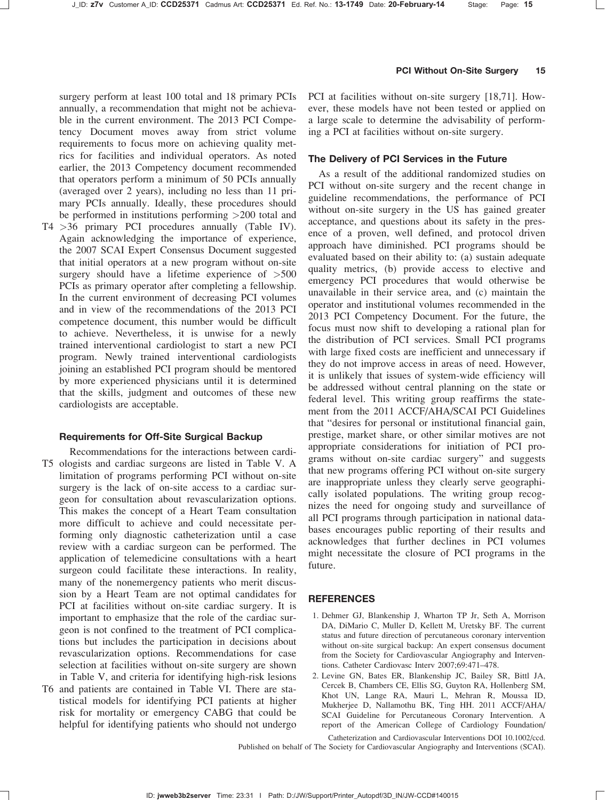surgery perform at least 100 total and 18 primary PCIs annually, a recommendation that might not be achievable in the current environment. The 2013 PCI Competency Document moves away from strict volume requirements to focus more on achieving quality metrics for facilities and individual operators. As noted earlier, the 2013 Competency document recommended that operators perform a minimum of 50 PCIs annually (averaged over 2 years), including no less than 11 primary PCIs annually. Ideally, these procedures should be performed in institutions performing >200 total and

 $T4 > 36$  primary PCI procedures annually (Table IV). Again acknowledging the importance of experience, the 2007 SCAI Expert Consensus Document suggested that initial operators at a new program without on-site surgery should have a lifetime experience of  $>500$ PCIs as primary operator after completing a fellowship. In the current environment of decreasing PCI volumes and in view of the recommendations of the 2013 PCI competence document, this number would be difficult to achieve. Nevertheless, it is unwise for a newly trained interventional cardiologist to start a new PCI program. Newly trained interventional cardiologists joining an established PCI program should be mentored by more experienced physicians until it is determined that the skills, judgment and outcomes of these new cardiologists are acceptable.

# Requirements for Off-Site Surgical Backup

- Recommendations for the interactions between cardi-T5 ologists and cardiac surgeons are listed in Table V. A limitation of programs performing PCI without on-site surgery is the lack of on-site access to a cardiac surgeon for consultation about revascularization options. This makes the concept of a Heart Team consultation more difficult to achieve and could necessitate performing only diagnostic catheterization until a case review with a cardiac surgeon can be performed. The application of telemedicine consultations with a heart surgeon could facilitate these interactions. In reality, many of the nonemergency patients who merit discussion by a Heart Team are not optimal candidates for PCI at facilities without on-site cardiac surgery. It is important to emphasize that the role of the cardiac surgeon is not confined to the treatment of PCI complications but includes the participation in decisions about revascularization options. Recommendations for case selection at facilities without on-site surgery are shown in Table V, and criteria for identifying high-risk lesions
- T6 and patients are contained in Table VI. There are statistical models for identifying PCI patients at higher risk for mortality or emergency CABG that could be helpful for identifying patients who should not undergo

# PCI Without On-Site Surgery 15

PCI at facilities without on-site surgery [18,71]. However, these models have not been tested or applied on a large scale to determine the advisability of performing a PCI at facilities without on-site surgery.

# The Delivery of PCI Services in the Future

As a result of the additional randomized studies on PCI without on-site surgery and the recent change in guideline recommendations, the performance of PCI without on-site surgery in the US has gained greater acceptance, and questions about its safety in the presence of a proven, well defined, and protocol driven approach have diminished. PCI programs should be evaluated based on their ability to: (a) sustain adequate quality metrics, (b) provide access to elective and emergency PCI procedures that would otherwise be unavailable in their service area, and (c) maintain the operator and institutional volumes recommended in the 2013 PCI Competency Document. For the future, the focus must now shift to developing a rational plan for the distribution of PCI services. Small PCI programs with large fixed costs are inefficient and unnecessary if they do not improve access in areas of need. However, it is unlikely that issues of system-wide efficiency will be addressed without central planning on the state or federal level. This writing group reaffirms the statement from the 2011 ACCF/AHA/SCAI PCI Guidelines that "desires for personal or institutional financial gain, prestige, market share, or other similar motives are not appropriate considerations for initiation of PCI programs without on-site cardiac surgery" and suggests that new programs offering PCI without on-site surgery are inappropriate unless they clearly serve geographically isolated populations. The writing group recognizes the need for ongoing study and surveillance of all PCI programs through participation in national databases encourages public reporting of their results and acknowledges that further declines in PCI volumes might necessitate the closure of PCI programs in the future.

# **REFERENCES**

- 1. Dehmer GJ, Blankenship J, Wharton TP Jr, Seth A, Morrison DA, DiMario C, Muller D, Kellett M, Uretsky BF. The current status and future direction of percutaneous coronary intervention without on-site surgical backup: An expert consensus document from the Society for Cardiovascular Angiography and Interventions. Catheter Cardiovasc Interv 2007;69:471–478.
- 2. Levine GN, Bates ER, Blankenship JC, Bailey SR, Bittl JA, Cercek B, Chambers CE, Ellis SG, Guyton RA, Hollenberg SM, Khot UN, Lange RA, Mauri L, Mehran R, Moussa ID, Mukherjee D, Nallamothu BK, Ting HH. 2011 ACCF/AHA/ SCAI Guideline for Percutaneous Coronary Intervention. A report of the American College of Cardiology Foundation/ Catheterization and Cardiovascular Interventions DOI 10.1002/ccd.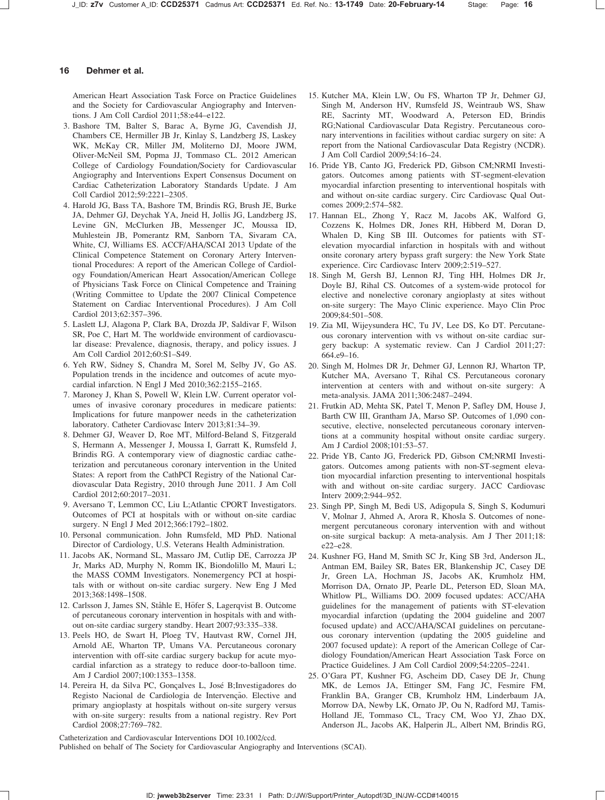#### 16 Dehmer et al.

American Heart Association Task Force on Practice Guidelines and the Society for Cardiovascular Angiography and Interventions. J Am Coll Cardiol 2011;58:e44–e122.

- 3. Bashore TM, Balter S, Barac A, Byrne JG, Cavendish JJ, Chambers CE, Hermiller JB Jr, Kinlay S, Landzberg JS, Laskey WK, McKay CR, Miller JM, Moliterno DJ, Moore JWM, Oliver-McNeil SM, Popma JJ, Tommaso CL. 2012 American College of Cardiology Foundation/Society for Cardiovascular Angiography and Interventions Expert Consensus Document on Cardiac Catheterization Laboratory Standards Update. J Am Coll Cardiol 2012;59:2221–2305.
- 4. Harold JG, Bass TA, Bashore TM, Brindis RG, Brush JE, Burke JA, Dehmer GJ, Deychak YA, Jneid H, Jollis JG, Landzberg JS, Levine GN, McClurken JB, Messenger JC, Moussa ID, Muhlestein JB, Pomerantz RM, Sanborn TA, Sivaram CA, White, CJ, Williams ES. ACCF/AHA/SCAI 2013 Update of the Clinical Competence Statement on Coronary Artery Interventional Procedures: A report of the American College of Cardiology Foundation/American Heart Assocation/American College of Physicians Task Force on Clinical Competence and Training (Writing Committee to Update the 2007 Clinical Competence Statement on Cardiac Interventional Procedures). J Am Coll Cardiol 2013;62:357–396.
- 5. Laslett LJ, Alagona P, Clark BA, Drozda JP, Saldivar F, Wilson SR, Poe C, Hart M. The worldwide environment of cardiovascular disease: Prevalence, diagnosis, therapy, and policy issues. J Am Coll Cardiol 2012;60:S1–S49.
- 6. Yeh RW, Sidney S, Chandra M, Sorel M, Selby JV, Go AS. Population trends in the incidence and outcomes of acute myocardial infarction. N Engl J Med 2010;362:2155–2165.
- 7. Maroney J, Khan S, Powell W, Klein LW. Current operator volumes of invasive coronary procedures in medicare patients: Implications for future manpower needs in the catheterization laboratory. Catheter Cardiovasc Interv 2013;81:34–39.
- 8. Dehmer GJ, Weaver D, Roe MT, Milford-Beland S, Fitzgerald S, Hermann A, Messenger J, Moussa I, Garratt K, Rumsfeld J, Brindis RG. A contemporary view of diagnostic cardiac catheterization and percutaneous coronary intervention in the United States: A report from the CathPCI Registry of the National Cardiovascular Data Registry, 2010 through June 2011. J Am Coll Cardiol 2012;60:2017–2031.
- 9. Aversano T, Lemmon CC, Liu L;Atlantic CPORT Investigators. Outcomes of PCI at hospitals with or without on-site cardiac surgery. N Engl J Med 2012;366:1792–1802.
- 10. Personal communication. John Rumsfeld, MD PhD. National Director of Cardiology, U.S. Veterans Health Administration.
- 11. Jacobs AK, Normand SL, Massaro JM, Cutlip DE, Carrozza JP Jr, Marks AD, Murphy N, Romm IK, Biondolillo M, Mauri L; the MASS COMM Investigators. Nonemergency PCI at hospitals with or without on-site cardiac surgery. New Eng J Med 2013;368:1498–1508.
- 12. Carlsson J, James SN, Ståhle E, Höfer S, Lagerqvist B. Outcome of percutaneous coronary intervention in hospitals with and without on-site cardiac surgery standby. Heart 2007;93:335–338.
- 13. Peels HO, de Swart H, Ploeg TV, Hautvast RW, Cornel JH, Arnold AE, Wharton TP, Umans VA. Percutaneous coronary intervention with off-site cardiac surgery backup for acute myocardial infarction as a strategy to reduce door-to-balloon time. Am J Cardiol 2007;100:1353–1358.
- 14. Pereira H, da Silva PC, Gonçalves L, José B; Investigadores do Registo Nacional de Cardiologia de Intervenção. Elective and primary angioplasty at hospitals without on-site surgery versus with on-site surgery: results from a national registry. Rev Port Cardiol 2008;27:769–782.
- 15. Kutcher MA, Klein LW, Ou FS, Wharton TP Jr, Dehmer GJ, Singh M, Anderson HV, Rumsfeld JS, Weintraub WS, Shaw RE, Sacrinty MT, Woodward A, Peterson ED, Brindis RG;National Cardiovascular Data Registry. Percutaneous coronary interventions in facilities without cardiac surgery on site: A report from the National Cardiovascular Data Registry (NCDR). J Am Coll Cardiol 2009;54:16–24.
- 16. Pride YB, Canto JG, Frederick PD, Gibson CM;NRMI Investigators. Outcomes among patients with ST-segment-elevation myocardial infarction presenting to interventional hospitals with and without on-site cardiac surgery. Circ Cardiovasc Qual Outcomes 2009;2:574–582.
- 17. Hannan EL, Zhong Y, Racz M, Jacobs AK, Walford G, Cozzens K, Holmes DR, Jones RH, Hibberd M, Doran D, Whalen D, King SB III. Outcomes for patients with STelevation myocardial infarction in hospitals with and without onsite coronary artery bypass graft surgery: the New York State experience. Circ Cardiovasc Interv 2009;2:519–527.
- 18. Singh M, Gersh BJ, Lennon RJ, Ting HH, Holmes DR Jr, Doyle BJ, Rihal CS. Outcomes of a system-wide protocol for elective and nonelective coronary angioplasty at sites without on-site surgery: The Mayo Clinic experience. Mayo Clin Proc 2009;84:501–508.
- 19. Zia MI, Wijeysundera HC, Tu JV, Lee DS, Ko DT. Percutaneous coronary intervention with vs without on-site cardiac surgery backup: A systematic review. Can J Cardiol 2011;27: 664.e9–16.
- 20. Singh M, Holmes DR Jr, Dehmer GJ, Lennon RJ, Wharton TP, Kutcher MA, Aversano T, Rihal CS. Percutaneous coronary intervention at centers with and without on-site surgery: A meta-analysis. JAMA 2011;306:2487–2494.
- 21. Frutkin AD, Mehta SK, Patel T, Menon P, Safley DM, House J, Barth CW III, Grantham JA, Marso SP. Outcomes of 1,090 consecutive, elective, nonselected percutaneous coronary interventions at a community hospital without onsite cardiac surgery. Am J Cardiol 2008;101:53–57.
- 22. Pride YB, Canto JG, Frederick PD, Gibson CM;NRMI Investigators. Outcomes among patients with non-ST-segment elevation myocardial infarction presenting to interventional hospitals with and without on-site cardiac surgery. JACC Cardiovasc Interv 2009;2:944–952.
- 23. Singh PP, Singh M, Bedi US, Adigopula S, Singh S, Kodumuri V, Molnar J, Ahmed A, Arora R, Khosla S. Outcomes of nonemergent percutaneous coronary intervention with and without on-site surgical backup: A meta-analysis. Am J Ther 2011;18: e22–e28.
- 24. Kushner FG, Hand M, Smith SC Jr, King SB 3rd, Anderson JL, Antman EM, Bailey SR, Bates ER, Blankenship JC, Casey DE Jr, Green LA, Hochman JS, Jacobs AK, Krumholz HM, Morrison DA, Ornato JP, Pearle DL, Peterson ED, Sloan MA, Whitlow PL, Williams DO. 2009 focused updates: ACC/AHA guidelines for the management of patients with ST-elevation myocardial infarction (updating the 2004 guideline and 2007 focused update) and ACC/AHA/SCAI guidelines on percutaneous coronary intervention (updating the 2005 guideline and 2007 focused update): A report of the American College of Cardiology Foundation/American Heart Association Task Force on Practice Guidelines. J Am Coll Cardiol 2009;54:2205–2241.
- 25. O'Gara PT, Kushner FG, Ascheim DD, Casey DE Jr, Chung MK, de Lemos JA, Ettinger SM, Fang JC, Fesmire FM, Franklin BA, Granger CB, Krumholz HM, Linderbaum JA, Morrow DA, Newby LK, Ornato JP, Ou N, Radford MJ, Tamis-Holland JE, Tommaso CL, Tracy CM, Woo YJ, Zhao DX, Anderson JL, Jacobs AK, Halperin JL, Albert NM, Brindis RG,

Catheterization and Cardiovascular Interventions DOI 10.1002/ccd.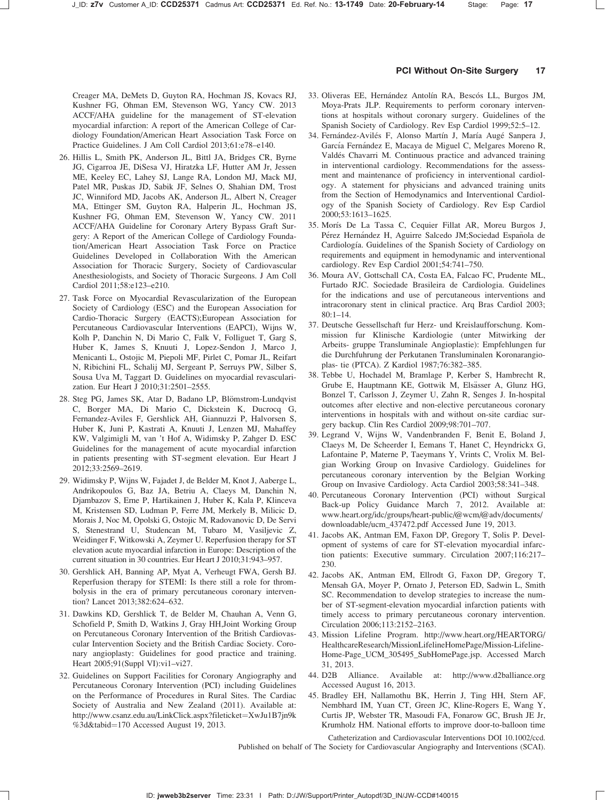- 26. Hillis L, Smith PK, Anderson JL, Bittl JA, Bridges CR, Byrne JG, Cigarroa JE, DiSesa VJ, Hiratzka LF, Hutter AM Jr, Jessen ME, Keeley EC, Lahey SJ, Lange RA, London MJ, Mack MJ, Patel MR, Puskas JD, Sabik JF, Selnes O, Shahian DM, Trost JC, Winniford MD, Jacobs AK, Anderson JL, Albert N, Creager MA, Ettinger SM, Guyton RA, Halperin JL, Hochman JS, Kushner FG, Ohman EM, Stevenson W, Yancy CW. 2011 ACCF/AHA Guideline for Coronary Artery Bypass Graft Surgery: A Report of the American College of Cardiology Foundation/American Heart Association Task Force on Practice Guidelines Developed in Collaboration With the American Association for Thoracic Surgery, Society of Cardiovascular Anesthesiologists, and Society of Thoracic Surgeons. J Am Coll Cardiol 2011;58:e123–e210.
- 27. Task Force on Myocardial Revascularization of the European Society of Cardiology (ESC) and the European Association for Cardio-Thoracic Surgery (EACTS);European Association for Percutaneous Cardiovascular Interventions (EAPCI), Wijns W, Kolh P, Danchin N, Di Mario C, Falk V, Folliguet T, Garg S, Huber K, James S, Knuuti J, Lopez-Sendon J, Marco J, Menicanti L, Ostojic M, Piepoli MF, Pirlet C, Pomar JL, Reifart N, Ribichini FL, Schalij MJ, Sergeant P, Serruys PW, Silber S, Sousa Uva M, Taggart D. Guidelines on myocardial revascularization. Eur Heart J 2010;31:2501–2555.
- 28. Steg PG, James SK, Atar D, Badano LP, Blömstrom-Lundqvist C, Borger MA, Di Mario C, Dickstein K, Ducrocq G, Fernandez-Aviles F, Gershlick AH, Giannuzzi P, Halvorsen S, Huber K, Juni P, Kastrati A, Knuuti J, Lenzen MJ, Mahaffey KW, Valgimigli M, van 't Hof A, Widimsky P, Zahger D. ESC Guidelines for the management of acute myocardial infarction in patients presenting with ST-segment elevation. Eur Heart J 2012;33:2569–2619.
- 29. Widimsky P, Wijns W, Fajadet J, de Belder M, Knot J, Aaberge L, Andrikopoulos G, Baz JA, Betriu A, Claeys M, Danchin N, Djambazov S, Erne P, Hartikainen J, Huber K, Kala P, Klinceva M, Kristensen SD, Ludman P, Ferre JM, Merkely B, Milicic D, Morais J, Noc M, Opolski G, Ostojic M, Radovanovic D, De Servi S, Stenestrand U, Studencan M, Tubaro M, Vasiljevic Z, Weidinger F, Witkowski A, Zeymer U. Reperfusion therapy for ST elevation acute myocardial infarction in Europe: Description of the current situation in 30 countries. Eur Heart J 2010;31:943–957.
- 30. Gershlick AH, Banning AP, Myat A, Verheugt FWA, Gersh BJ. Reperfusion therapy for STEMI: Is there still a role for thrombolysis in the era of primary percutaneous coronary intervention? Lancet 2013;382:624–632.
- 31. Dawkins KD, Gershlick T, de Belder M, Chauhan A, Venn G, Schofield P, Smith D, Watkins J, Gray HH,Joint Working Group on Percutaneous Coronary Intervention of the British Cardiovascular Intervention Society and the British Cardiac Society. Coronary angioplasty: Guidelines for good practice and training. Heart 2005;91(Suppl VI):vi1–vi27.
- 32. Guidelines on Support Facilities for Coronary Angiography and Percutaneous Coronary Intervention (PCI) including Guidelines on the Performance of Procedures in Rural Sites. The Cardiac Society of Australia and New Zealand (2011). Available at: [http://www.csanz.edu.au/LinkClick.aspx?fileticket](http://www.csanz.edu.au/LinkClick.aspx?fileticket=XwJu1B7jn9k%3d&hx0026;tabid=170)=[XwJu1B7jn9k](http://www.csanz.edu.au/LinkClick.aspx?fileticket=XwJu1B7jn9k%3d&hx0026;tabid=170) %[3d](http://www.csanz.edu.au/LinkClick.aspx?fileticket=XwJu1B7jn9k%3d&hx0026;tabid=170)&[tabid](http://www.csanz.edu.au/LinkClick.aspx?fileticket=XwJu1B7jn9k%3d&hx0026;tabid=170)=[170](http://www.csanz.edu.au/LinkClick.aspx?fileticket=XwJu1B7jn9k%3d&hx0026;tabid=170) Accessed August 19, 2013.

#### PCI Without On-Site Surgery 17

- 33. Oliveras EE, Hernández Antolín RA, Bescós LL, Burgos JM, Moya-Prats JLP. Requirements to perform coronary interventions at hospitals without coronary surgery. Guidelines of the Spanish Society of Cardiology. Rev Esp Cardiol 1999;52:5–12.
- 34. Fernández-Avilés F, Alonso Martín J, María Augé Sanpera J, García Fernández E, Macaya de Miguel C, Melgares Moreno R, Valdés Chavarri M. Continuous practice and advanced training in interventional cardiology. Recommendations for the assessment and maintenance of proficiency in interventional cardiology. A statement for physicians and advanced training units from the Section of Hemodynamics and Interventional Cardiology of the Spanish Society of Cardiology. Rev Esp Cardiol 2000;53:1613–1625.
- 35. Morís De La Tassa C, Cequier Fillat AR, Moreu Burgos J, Pérez Hernández H, Aguirre Salcedo JM;Sociedad Española de Cardiología. Guidelines of the Spanish Society of Cardiology on requirements and equipment in hemodynamic and interventional cardiology. Rev Esp Cardiol 2001;54:741–750.
- 36. Moura AV, Gottschall CA, Costa EA, Falcao FC, Prudente ML, Furtado RJC. Sociedade Brasileira de Cardiologia. Guidelines for the indications and use of percutaneous interventions and intracoronary stent in clinical practice. Arq Bras Cardiol 2003; 80:1–14.
- 37. Deutsche Gessellschaft fur Herz- und Kreislaufforschung. Kommission fur Klinische Kardiologie (unter Mitwirking der Arbeits- gruppe Transluminale Angioplastie): Empfehlungen fur die Durchfuhrung der Perkutanen Transluminalen Koronarangioplas- tie (PTCA). Z Kardiol 1987;76:382–385.
- 38. Tebbe U, Hochadel M, Bramlage P, Kerber S, Hambrecht R, Grube E, Hauptmann KE, Gottwik M, Elsässer A, Glunz HG, Bonzel T, Carlsson J, Zeymer U, Zahn R, Senges J. In-hospital outcomes after elective and non-elective percutaneous coronary interventions in hospitals with and without on-site cardiac surgery backup. Clin Res Cardiol 2009;98:701–707.
- 39. Legrand V, Wijns W, Vandenbranden F, Benit E, Boland J, Claeys M, De Scheerder I, Eemans T, Hanet C, Heyndrickx G, Lafontaine P, Materne P, Taeymans Y, Vrints C, Vrolix M. Belgian Working Group on Invasive Cardiology. Guidelines for percutaneous coronary intervention by the Belgian Working Group on Invasive Cardiology. Acta Cardiol 2003;58:341–348.
- 40. Percutaneous Coronary Intervention (PCI) without Surgical Back-up Policy Guidance March 7, 2012. Available at: www.heart.org/idc/groups/heart-public/@wcm/@adv/documents/ downloadable/ucm\_437472.pdf Accessed June 19, 2013.
- 41. Jacobs AK, Antman EM, Faxon DP, Gregory T, Solis P. Development of systems of care for ST-elevation myocardial infarction patients: Executive summary. Circulation 2007;116:217– 230.
- 42. Jacobs AK, Antman EM, Ellrodt G, Faxon DP, Gregory T, Mensah GA, Moyer P, Ornato J, Peterson ED, Sadwin L, Smith SC. Recommendation to develop strategies to increase the number of ST-segment-elevation myocardial infarction patients with timely access to primary percutaneous coronary intervention. Circulation 2006;113:2152–2163.
- 43. Mission Lifeline Program. [http://www.heart.org/HEARTORG/](http://www.heart.org/HEARTORG/HealthcareResearch/MissionLifelineHomePage/Mission-Lifeline-Home-Page_UCM_305495_SubHomePage.jsp) [HealthcareResearch/MissionLifelineHomePage/Mission-Lifeline-](http://www.heart.org/HEARTORG/HealthcareResearch/MissionLifelineHomePage/Mission-Lifeline-Home-Page_UCM_305495_SubHomePage.jsp)[Home-Page\\_UCM\\_305495\\_SubHomePage.jsp.](http://www.heart.org/HEARTORG/HealthcareResearch/MissionLifelineHomePage/Mission-Lifeline-Home-Page_UCM_305495_SubHomePage.jsp) Accessed March 31, 2013.
- 44. D2B Alliance. Available at:<http://www.d2balliance.org> Accessed August 16, 2013.
- 45. Bradley EH, Nallamothu BK, Herrin J, Ting HH, Stern AF, Nembhard IM, Yuan CT, Green JC, Kline-Rogers E, Wang Y, Curtis JP, Webster TR, Masoudi FA, Fonarow GC, Brush JE Jr, Krumholz HM. National efforts to improve door-to-balloon time

Catheterization and Cardiovascular Interventions DOI 10.1002/ccd.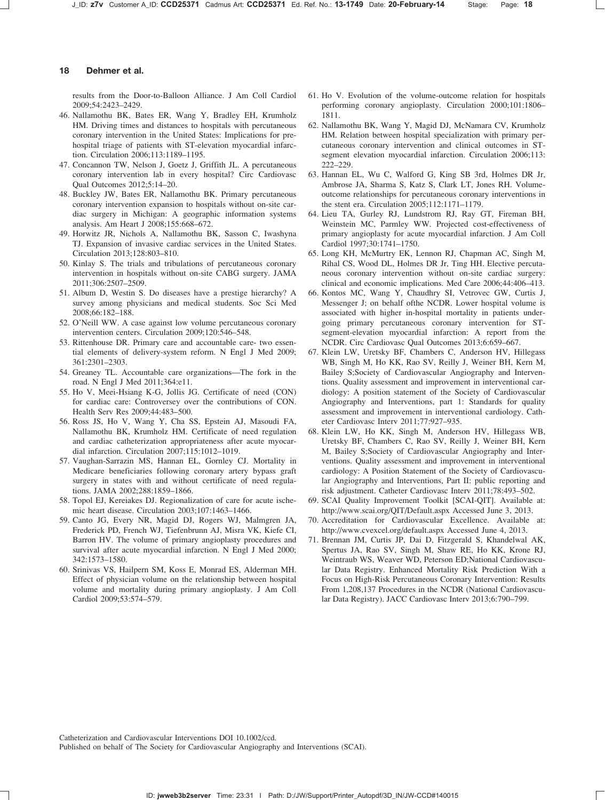results from the Door-to-Balloon Alliance. J Am Coll Cardiol 2009;54:2423–2429.

- 46. Nallamothu BK, Bates ER, Wang Y, Bradley EH, Krumholz HM. Driving times and distances to hospitals with percutaneous coronary intervention in the United States: Implications for prehospital triage of patients with ST-elevation myocardial infarction. Circulation 2006;113:1189–1195.
- 47. Concannon TW, Nelson J, Goetz J, Griffith JL. A percutaneous coronary intervention lab in every hospital? Circ Cardiovasc Qual Outcomes 2012;5:14–20.
- 48. Buckley JW, Bates ER, Nallamothu BK. Primary percutaneous coronary intervention expansion to hospitals without on-site cardiac surgery in Michigan: A geographic information systems analysis. Am Heart J 2008;155:668–672.
- 49. Horwitz JR, Nichols A, Nallamothu BK, Sasson C, Iwashyna TJ. Expansion of invasive cardiac services in the United States. Circulation 2013;128:803–810.
- 50. Kinlay S. The trials and tribulations of percutaneous coronary intervention in hospitals without on-site CABG surgery. JAMA 2011;306:2507–2509.
- 51. Album D, Westin S. Do diseases have a prestige hierarchy? A survey among physicians and medical students. Soc Sci Med 2008;66:182–188.
- 52. O'Neill WW. A case against low volume percutaneous coronary intervention centers. Circulation 2009;120:546–548.
- 53. Rittenhouse DR. Primary care and accountable care- two essential elements of delivery-system reform. N Engl J Med 2009; 361:2301–2303.
- 54. Greaney TL. Accountable care organizations—The fork in the road. N Engl J Med 2011;364:e11.
- 55. Ho V, Meei-Hsiang K-G, Jollis JG. Certificate of need (CON) for cardiac care: Controversey over the contributions of CON. Health Serv Res 2009;44:483–500.
- 56. Ross JS, Ho V, Wang Y, Cha SS, Epstein AJ, Masoudi FA, Nallamothu BK, Krumholz HM. Certificate of need regulation and cardiac catheterization appropriateness after acute myocardial infarction. Circulation 2007;115:1012–1019.
- 57. Vaughan-Sarrazin MS, Hannan EL, Gornley CJ. Mortality in Medicare beneficiaries following coronary artery bypass graft surgery in states with and without certificate of need regulations. JAMA 2002;288:1859–1866.
- 58. Topol EJ, Kereiakes DJ. Regionalization of care for acute ischemic heart disease. Circulation 2003;107:1463–1466.
- 59. Canto JG, Every NR, Magid DJ, Rogers WJ, Malmgren JA, Frederick PD, French WJ, Tiefenbrunn AJ, Misra VK, Kiefe CI, Barron HV. The volume of primary angioplasty procedures and survival after acute myocardial infarction. N Engl J Med 2000; 342:1573–1580.
- 60. Srinivas VS, Hailpern SM, Koss E, Monrad ES, Alderman MH. Effect of physician volume on the relationship between hospital volume and mortality during primary angioplasty. J Am Coll Cardiol 2009;53:574–579.
- 61. Ho V. Evolution of the volume-outcome relation for hospitals performing coronary angioplasty. Circulation 2000;101:1806– 1811.
- 62. Nallamothu BK, Wang Y, Magid DJ, McNamara CV, Krumholz HM. Relation between hospital specialization with primary percutaneous coronary intervention and clinical outcomes in STsegment elevation myocardial infarction. Circulation 2006;113: 222–229.
- 63. Hannan EL, Wu C, Walford G, King SB 3rd, Holmes DR Jr, Ambrose JA, Sharma S, Katz S, Clark LT, Jones RH. Volumeoutcome relationships for percutaneous coronary interventions in the stent era. Circulation 2005;112:1171–1179.
- 64. Lieu TA, Gurley RJ, Lundstrom RJ, Ray GT, Fireman BH, Weinstein MC, Parmley WW. Projected cost-effectiveness of primary angioplasty for acute myocardial infarction. J Am Coll Cardiol 1997;30:1741–1750.
- 65. Long KH, McMurtry EK, Lennon RJ, Chapman AC, Singh M, Rihal CS, Wood DL, Holmes DR Jr, Ting HH. Elective percutaneous coronary intervention without on-site cardiac surgery: clinical and economic implications. Med Care 2006;44:406–413.
- 66. Kontos MC, Wang Y, Chaudhry SI, Vetrovec GW, Curtis J, Messenger J; on behalf ofthe NCDR. Lower hospital volume is associated with higher in-hospital mortality in patients undergoing primary percutaneous coronary intervention for STsegment-elevation myocardial infarction: A report from the NCDR. Circ Cardiovasc Qual Outcomes 2013;6:659–667.
- 67. Klein LW, Uretsky BF, Chambers C, Anderson HV, Hillegass WB, Singh M, Ho KK, Rao SV, Reilly J, Weiner BH, Kern M, Bailey S;Society of Cardiovascular Angiography and Interventions. Quality assessment and improvement in interventional cardiology: A position statement of the Society of Cardiovascular Angiography and Interventions, part 1: Standards for quality assessment and improvement in interventional cardiology. Catheter Cardiovasc Interv 2011;77:927–935.
- 68. Klein LW, Ho KK, Singh M, Anderson HV, Hillegass WB, Uretsky BF, Chambers C, Rao SV, Reilly J, Weiner BH, Kern M, Bailey S;Society of Cardiovascular Angiography and Interventions. Quality assessment and improvement in interventional cardiology: A Position Statement of the Society of Cardiovascular Angiography and Interventions, Part II: public reporting and risk adjustment. Catheter Cardiovasc Interv 2011;78:493–502.
- 69. SCAI Quality Improvement Toolkit [SCAI-QIT]. Available at: <http://www.scai.org/QIT/Default.aspx> Accessed June 3, 2013.
- 70. Accreditation for Cardiovascular Excellence. Available at: <http://www.cvexcel.org/default.aspx> Accessed June 4, 2013.
- 71. Brennan JM, Curtis JP, Dai D, Fitzgerald S, Khandelwal AK, Spertus JA, Rao SV, Singh M, Shaw RE, Ho KK, Krone RJ, Weintraub WS, Weaver WD, Peterson ED;National Cardiovascular Data Registry. Enhanced Mortality Risk Prediction With a Focus on High-Risk Percutaneous Coronary Intervention: Results From 1,208,137 Procedures in the NCDR (National Cardiovascular Data Registry). JACC Cardiovasc Interv 2013;6:790–799.

Catheterization and Cardiovascular Interventions DOI 10.1002/ccd.